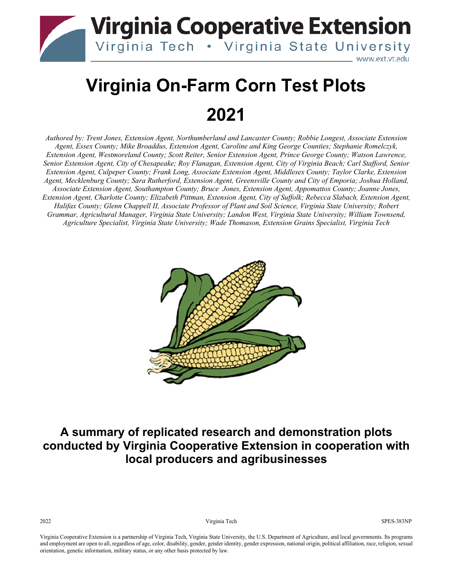

# **Virginia On-Farm Corn Test Plots 2021**

*Authored by: Trent Jones, Extension Agent, Northumberland and Lancaster County; Robbie Longest, Associate Extension Agent, Essex County; Mike Broaddus, Extension Agent, Caroline and King George Counties; Stephanie Romelczyk, Extension Agent, Westmoreland County; Scott Reiter, Senior Extension Agent, Prince George County; Watson Lawrence, Senior Extension Agent, City of Chesapeake; Roy Flanagan, Extension Agent, City of Virginia Beach; Carl Stafford, Senior Extension Agent, Culpeper County; Frank Long, Associate Extension Agent, Middlesex County; Taylor Clarke, Extension Agent, Mecklenburg County; Sara Rutherford, Extension Agent, Greensville County and City of Emporia; Joshua Holland, Associate Extension Agent, Southampton County; Bruce Jones, Extension Agent, Appomattox County; Joanne Jones, Extension Agent, Charlotte County; Elizabeth Pittman, Extension Agent, City of Suffolk; Rebecca Slabach, Extension Agent, Halifax County; Glenn Chappell II, Associate Professor of Plant and Soil Science, Virginia State University; Robert Grammar, Agricultural Manager, Virginia State University; Landon West, Virginia State University; William Townsend, Agriculture Specialist, Virginia State University; Wade Thomason, Extension Grains Specialist, Virginia Tech*



#### **A summary of replicated research and demonstration plots conducted by Virginia Cooperative Extension in cooperation with local producers and agribusinesses**

2022 Virginia Tech SPES-383NP

Virginia Cooperative Extension is a partnership of Virginia Tech, Virginia State University, the U.S. Department of Agriculture, and local governments. Its programs and employment are open to all, regardless of age, color, disability, gender, gender identity, gender expression, national origin, political affiliation, race, religion, sexual orientation, genetic information, military status, or any other basis protected by law.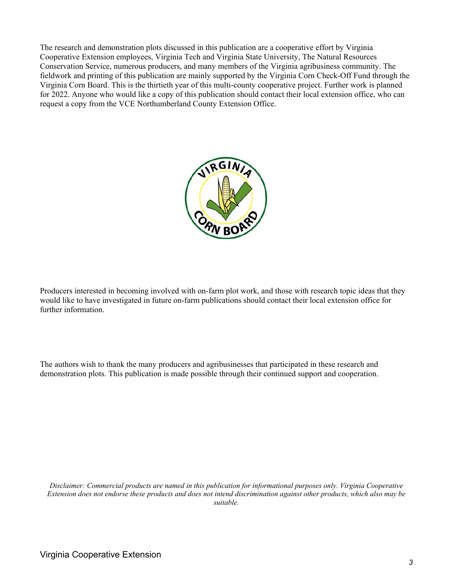The research and demonstration plots discussed in this publication are a cooperative effort by Virginia Cooperative Extension employees, Virginia Tech and Virginia State University, The Natural Resources Conservation Service, numerous producers, and many members of the Virginia agribusiness community. The fieldwork and printing of this publication are mainly supported by the Virginia Corn Check-Off Fund through the Virginia Corn Board. This is the thirtieth year of this multi-county cooperative project. Further work is planned for 2022. Anyone who would like a copy of this publication should contact their local extension office, who can request a copy from the VCE Northumberland County Extension Office.



Producers interested in becoming involved with on-farm plot work, and those with research topic ideas that they would like to have investigated in future on-farm publications should contact their local extension office for further information.

The authors wish to thank the many producers and agribusinesses that participated in these research and demonstration plots. This publication is made possible through their continued support and cooperation.

*Disclaimer: Commercial products are named in this publication for informational purposes only. Virginia Cooperative Extension does not endorse these products and does not intend discrimination against other products, which also may be suitable.*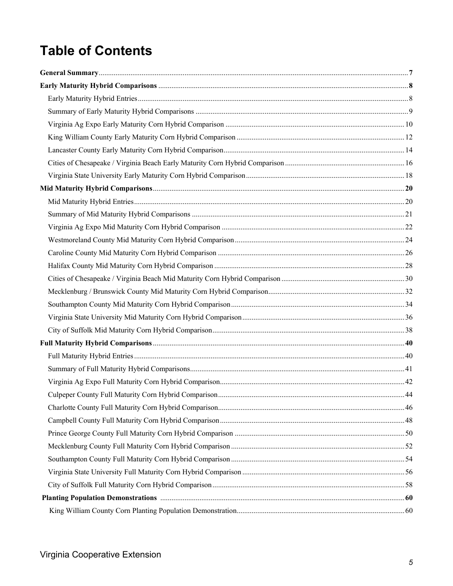### **Table of Contents**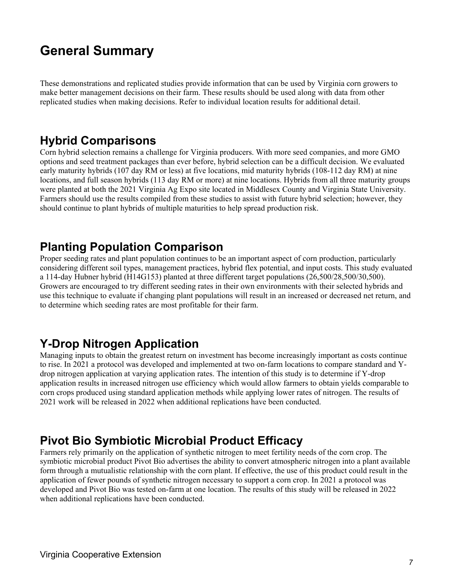### **General Summary**

These demonstrations and replicated studies provide information that can be used by Virginia corn growers to make better management decisions on their farm. These results should be used along with data from other replicated studies when making decisions. Refer to individual location results for additional detail.

#### **Hybrid Comparisons**

Corn hybrid selection remains a challenge for Virginia producers. With more seed companies, and more GMO options and seed treatment packages than ever before, hybrid selection can be a difficult decision. We evaluated early maturity hybrids (107 day RM or less) at five locations, mid maturity hybrids (108-112 day RM) at nine locations, and full season hybrids (113 day RM or more) at nine locations. Hybrids from all three maturity groups were planted at both the 2021 Virginia Ag Expo site located in Middlesex County and Virginia State University. Farmers should use the results compiled from these studies to assist with future hybrid selection; however, they should continue to plant hybrids of multiple maturities to help spread production risk.

#### **Planting Population Comparison**

Proper seeding rates and plant population continues to be an important aspect of corn production, particularly considering different soil types, management practices, hybrid flex potential, and input costs. This study evaluated a 114-day Hubner hybrid (H14G153) planted at three different target populations (26,500/28,500/30,500). Growers are encouraged to try different seeding rates in their own environments with their selected hybrids and use this technique to evaluate if changing plant populations will result in an increased or decreased net return, and to determine which seeding rates are most profitable for their farm.

#### **Y-Drop Nitrogen Application**

Managing inputs to obtain the greatest return on investment has become increasingly important as costs continue to rise. In 2021 a protocol was developed and implemented at two on-farm locations to compare standard and Ydrop nitrogen application at varying application rates. The intention of this study is to determine if Y-drop application results in increased nitrogen use efficiency which would allow farmers to obtain yields comparable to corn crops produced using standard application methods while applying lower rates of nitrogen. The results of 2021 work will be released in 2022 when additional replications have been conducted.

#### **Pivot Bio Symbiotic Microbial Product Efficacy**

Farmers rely primarily on the application of synthetic nitrogen to meet fertility needs of the corn crop. The symbiotic microbial product Pivot Bio advertises the ability to convert atmospheric nitrogen into a plant available form through a mutualistic relationship with the corn plant. If effective, the use of this product could result in the application of fewer pounds of synthetic nitrogen necessary to support a corn crop. In 2021 a protocol was developed and Pivot Bio was tested on-farm at one location. The results of this study will be released in 2022 when additional replications have been conducted.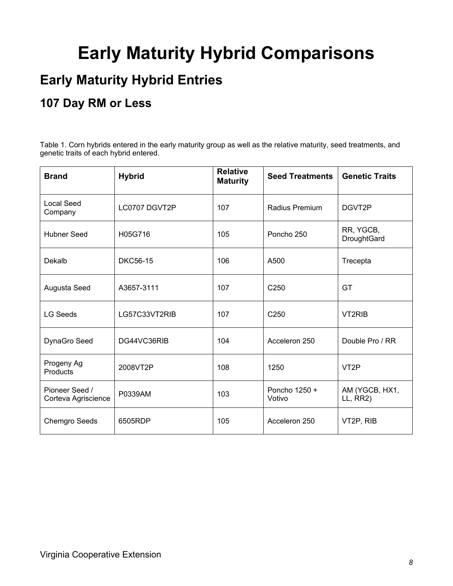# **Early Maturity Hybrid Comparisons**

### **Early Maturity Hybrid Entries**

### **107 Day RM or Less**

Table 1. Corn hybrids entered in the early maturity group as well as the relative maturity, seed treatments, and genetic traits of each hybrid entered.

| <b>Brand</b>                          | <b>Hybrid</b>   | <b>Relative</b><br><b>Maturity</b> | <b>Seed Treatments</b>  | <b>Genetic Traits</b>      |
|---------------------------------------|-----------------|------------------------------------|-------------------------|----------------------------|
| <b>Local Seed</b><br>Company          | LC0707 DGVT2P   | 107                                | Radius Premium          | DGVT2P                     |
| <b>Hubner Seed</b>                    | H05G716         | 105                                | Poncho 250              | RR, YGCB,<br>DroughtGard   |
| Dekalb                                | <b>DKC56-15</b> | 106                                | A500                    | Trecepta                   |
| Augusta Seed                          | A3657-3111      | 107                                | C <sub>250</sub>        | GT                         |
| <b>LG Seeds</b>                       | LG57C33VT2RIB   | 107                                | C <sub>250</sub>        | VT2RIB                     |
| DynaGro Seed                          | DG44VC36RIB     | 104                                | Acceleron 250           | Double Pro / RR            |
| Progeny Ag<br><b>Products</b>         | 2008VT2P        | 108                                | 1250                    | VT <sub>2</sub> P          |
| Pioneer Seed /<br>Corteva Agriscience | P0339AM         | 103                                | Poncho 1250 +<br>Votivo | AM (YGCB, HX1,<br>LL, RR2) |
| <b>Chemgro Seeds</b>                  | 6505RDP         | 105                                | Acceleron 250           | VT2P, RIB                  |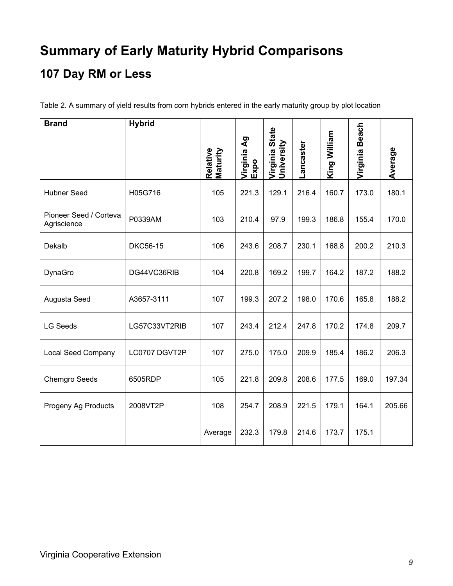## **Summary of Early Maturity Hybrid Comparisons 107 Day RM or Less**

Table 2. A summary of yield results from corn hybrids entered in the early maturity group by plot location

| <b>Brand</b>                          | <b>Hybrid</b>   | Relative<br>Maturity | $\mathbf{g}$<br>Virginia<br>Expo | Virginia State<br>University | ancaster | King William | <b>Beach</b><br>Virginia | Average |
|---------------------------------------|-----------------|----------------------|----------------------------------|------------------------------|----------|--------------|--------------------------|---------|
|                                       |                 |                      |                                  |                              |          |              |                          |         |
| <b>Hubner Seed</b>                    | H05G716         | 105                  | 221.3                            | 129.1                        | 216.4    | 160.7        | 173.0                    | 180.1   |
| Pioneer Seed / Corteva<br>Agriscience | P0339AM         | 103                  | 210.4                            | 97.9                         | 199.3    | 186.8        | 155.4                    | 170.0   |
| Dekalb                                | <b>DKC56-15</b> | 106                  | 243.6                            | 208.7                        | 230.1    | 168.8        | 200.2                    | 210.3   |
| DynaGro                               | DG44VC36RIB     | 104                  | 220.8                            | 169.2                        | 199.7    | 164.2        | 187.2                    | 188.2   |
| Augusta Seed                          | A3657-3111      | 107                  | 199.3                            | 207.2                        | 198.0    | 170.6        | 165.8                    | 188.2   |
| <b>LG Seeds</b>                       | LG57C33VT2RIB   | 107                  | 243.4                            | 212.4                        | 247.8    | 170.2        | 174.8                    | 209.7   |
| <b>Local Seed Company</b>             | LC0707 DGVT2P   | 107                  | 275.0                            | 175.0                        | 209.9    | 185.4        | 186.2                    | 206.3   |
| <b>Chemgro Seeds</b>                  | 6505RDP         | 105                  | 221.8                            | 209.8                        | 208.6    | 177.5        | 169.0                    | 197.34  |
| Progeny Ag Products                   | 2008VT2P        | 108                  | 254.7                            | 208.9                        | 221.5    | 179.1        | 164.1                    | 205.66  |
|                                       |                 | Average              | 232.3                            | 179.8                        | 214.6    | 173.7        | 175.1                    |         |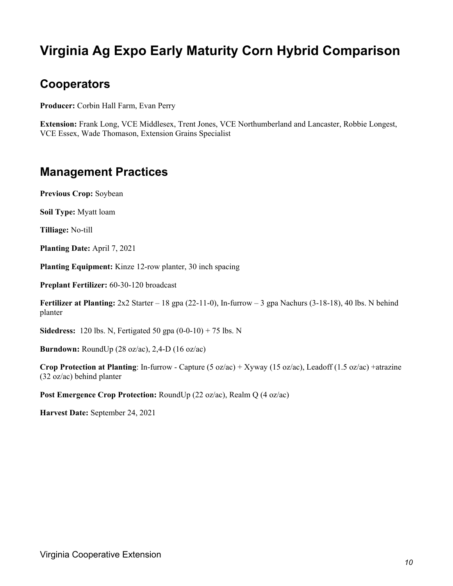### **Virginia Ag Expo Early Maturity Corn Hybrid Comparison**

#### **Cooperators**

**Producer:** Corbin Hall Farm, Evan Perry

**Extension:** Frank Long, VCE Middlesex, Trent Jones, VCE Northumberland and Lancaster, Robbie Longest, VCE Essex, Wade Thomason, Extension Grains Specialist

#### **Management Practices**

**Previous Crop:** Soybean

**Soil Type:** Myatt loam

**Tilliage:** No-till

**Planting Date:** April 7, 2021

**Planting Equipment:** Kinze 12-row planter, 30 inch spacing

**Preplant Fertilizer:** 60-30-120 broadcast

**Fertilizer at Planting:** 2x2 Starter – 18 gpa (22-11-0), In-furrow – 3 gpa Nachurs (3-18-18), 40 lbs. N behind planter

**Sidedress:** 120 lbs. N, Fertigated 50 gpa (0-0-10) + 75 lbs. N

**Burndown:** RoundUp (28 oz/ac), 2,4-D (16 oz/ac)

**Crop Protection at Planting**: In-furrow - Capture (5 oz/ac) + Xyway (15 oz/ac), Leadoff (1.5 oz/ac) +atrazine (32 oz/ac) behind planter

**Post Emergence Crop Protection:** RoundUp (22 oz/ac), Realm Q (4 oz/ac)

**Harvest Date:** September 24, 2021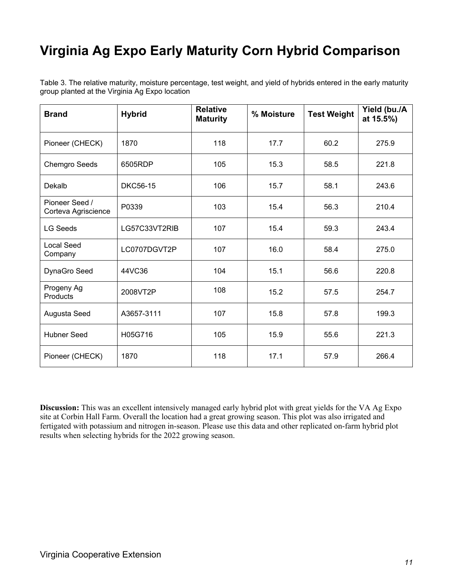### **Virginia Ag Expo Early Maturity Corn Hybrid Comparison**

Table 3. The relative maturity, moisture percentage, test weight, and yield of hybrids entered in the early maturity group planted at the Virginia Ag Expo location

| <b>Brand</b>                          | <b>Hybrid</b>         | <b>Relative</b><br><b>Maturity</b> | % Moisture | <b>Test Weight</b> | Yield (bu./A<br>at 15.5%) |
|---------------------------------------|-----------------------|------------------------------------|------------|--------------------|---------------------------|
| Pioneer (CHECK)                       | 1870                  | 118                                | 17.7       | 60.2               | 275.9                     |
| <b>Chemgro Seeds</b>                  | 6505RDP               | 105                                | 15.3       | 58.5               | 221.8                     |
| Dekalb                                | <b>DKC56-15</b>       | 106                                | 15.7       | 58.1               | 243.6                     |
| Pioneer Seed /<br>Corteva Agriscience | P0339                 | 103                                | 15.4       | 56.3               | 210.4                     |
| <b>LG Seeds</b>                       | LG57C33VT2RIB         | 107<br>15.4                        |            | 59.3               | 243.4                     |
| <b>Local Seed</b><br>Company          | LC0707DGVT2P          | 107                                | 16.0       | 58.4               | 275.0                     |
| DynaGro Seed                          | 44VC36<br>104<br>15.1 |                                    |            | 56.6               | 220.8                     |
| Progeny Ag<br>Products                | 2008VT2P              | 108                                | 15.2       | 57.5               | 254.7                     |
| Augusta Seed                          | A3657-3111            | 107                                | 15.8       | 57.8               | 199.3                     |
| <b>Hubner Seed</b>                    | H05G716               | 105                                | 15.9       | 55.6               | 221.3                     |
| Pioneer (CHECK)                       | 1870                  | 118                                | 17.1       | 57.9               | 266.4                     |

**Discussion:** This was an excellent intensively managed early hybrid plot with great yields for the VA Ag Expo site at Corbin Hall Farm. Overall the location had a great growing season. This plot was also irrigated and fertigated with potassium and nitrogen in-season. Please use this data and other replicated on-farm hybrid plot results when selecting hybrids for the 2022 growing season.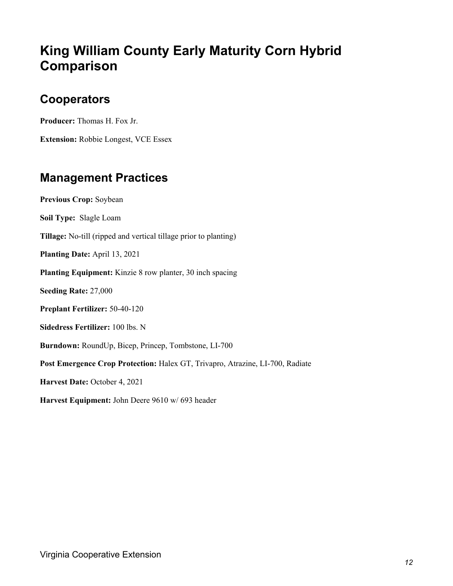### **King William County Early Maturity Corn Hybrid Comparison**

#### **Cooperators**

**Producer:** Thomas H. Fox Jr.

**Extension:** Robbie Longest, VCE Essex

#### **Management Practices**

**Previous Crop:** Soybean **Soil Type:** Slagle Loam **Tillage:** No-till (ripped and vertical tillage prior to planting) **Planting Date:** April 13, 2021 **Planting Equipment:** Kinzie 8 row planter, 30 inch spacing **Seeding Rate:** 27,000 **Preplant Fertilizer:** 50-40-120 **Sidedress Fertilizer:** 100 lbs. N **Burndown:** RoundUp, Bicep, Princep, Tombstone, LI-700 **Post Emergence Crop Protection:** Halex GT, Trivapro, Atrazine, LI-700, Radiate **Harvest Date:** October 4, 2021 **Harvest Equipment:** John Deere 9610 w/ 693 header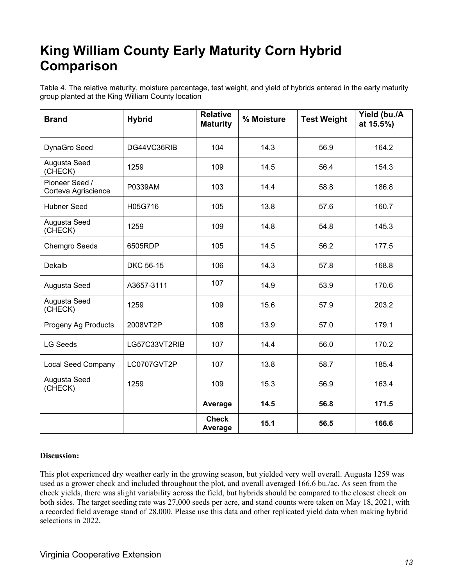### **King William County Early Maturity Corn Hybrid Comparison**

Table 4. The relative maturity, moisture percentage, test weight, and yield of hybrids entered in the early maturity group planted at the King William County location

| <b>Brand</b>                          | <b>Hybrid</b>    | <b>Relative</b><br><b>Maturity</b> | % Moisture | <b>Test Weight</b> | Yield (bu./A<br>at 15.5%) |
|---------------------------------------|------------------|------------------------------------|------------|--------------------|---------------------------|
| DynaGro Seed                          | DG44VC36RIB      | 104                                | 14.3       | 56.9               | 164.2                     |
| Augusta Seed<br>(CHECK)               | 1259             | 109                                | 14.5       | 56.4               | 154.3                     |
| Pioneer Seed /<br>Corteva Agriscience | P0339AM          | 103                                | 14.4       | 58.8               | 186.8                     |
| <b>Hubner Seed</b>                    | H05G716          | 105                                | 13.8       | 57.6               | 160.7                     |
| Augusta Seed<br>(CHECK)               | 1259             | 109                                | 14.8       | 54.8               | 145.3                     |
| <b>Chemgro Seeds</b>                  | 6505RDP          | 105                                | 14.5       | 56.2               | 177.5                     |
| Dekalb                                | <b>DKC 56-15</b> | 106                                | 14.3       | 57.8               | 168.8                     |
| Augusta Seed                          | A3657-3111       | 107                                | 14.9       | 53.9               | 170.6                     |
| Augusta Seed<br>(CHECK)               | 1259             | 109                                | 15.6       | 57.9               | 203.2                     |
| Progeny Ag Products                   | 2008VT2P         | 108                                | 13.9       | 57.0               | 179.1                     |
| <b>LG Seeds</b>                       | LG57C33VT2RIB    | 107                                | 14.4       | 56.0               | 170.2                     |
| <b>Local Seed Company</b>             | LC0707GVT2P      | 107                                | 13.8       | 58.7               | 185.4                     |
| Augusta Seed<br>(CHECK)               | 1259             | 109                                | 15.3       | 56.9               | 163.4                     |
|                                       |                  | Average                            | 14.5       | 56.8               | 171.5                     |
|                                       |                  | <b>Check</b><br>Average            | 15.1       | 56.5               | 166.6                     |

#### **Discussion:**

This plot experienced dry weather early in the growing season, but yielded very well overall. Augusta 1259 was used as a grower check and included throughout the plot, and overall averaged 166.6 bu./ac. As seen from the check yields, there was slight variability across the field, but hybrids should be compared to the closest check on both sides. The target seeding rate was 27,000 seeds per acre, and stand counts were taken on May 18, 2021, with a recorded field average stand of 28,000. Please use this data and other replicated yield data when making hybrid selections in 2022.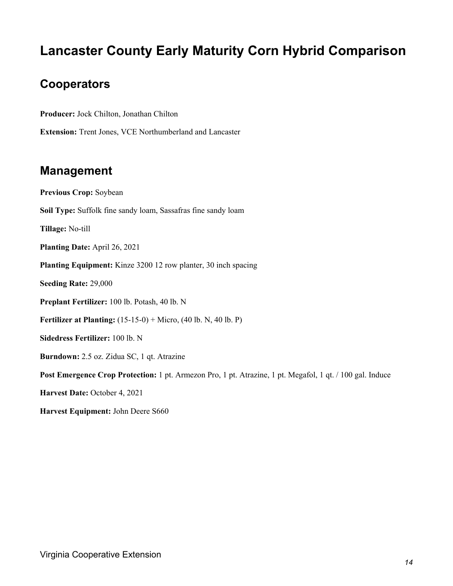### **Lancaster County Early Maturity Corn Hybrid Comparison**

#### **Cooperators**

**Producer:** Jock Chilton, Jonathan Chilton

**Extension:** Trent Jones, VCE Northumberland and Lancaster

#### **Management**

**Previous Crop:** Soybean **Soil Type:** Suffolk fine sandy loam, Sassafras fine sandy loam **Tillage:** No-till **Planting Date:** April 26, 2021 **Planting Equipment:** Kinze 3200 12 row planter, 30 inch spacing **Seeding Rate:** 29,000 **Preplant Fertilizer:** 100 lb. Potash, 40 lb. N **Fertilizer at Planting:** (15-15-0) + Micro, (40 lb. N, 40 lb. P) **Sidedress Fertilizer:** 100 lb. N **Burndown:** 2.5 oz. Zidua SC, 1 qt. Atrazine **Post Emergence Crop Protection:** 1 pt. Armezon Pro, 1 pt. Atrazine, 1 pt. Megafol, 1 qt. / 100 gal. Induce **Harvest Date:** October 4, 2021 **Harvest Equipment:** John Deere S660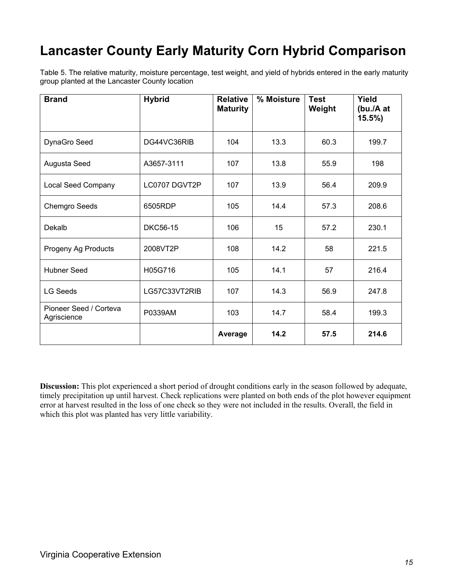### **Lancaster County Early Maturity Corn Hybrid Comparison**

Table 5. The relative maturity, moisture percentage, test weight, and yield of hybrids entered in the early maturity group planted at the Lancaster County location

| <b>Brand</b>                          | <b>Hybrid</b>   | <b>Relative</b><br><b>Maturity</b> | % Moisture | <b>Test</b><br>Weight | Yield<br>(bu./A at<br>$15.5\%$ |
|---------------------------------------|-----------------|------------------------------------|------------|-----------------------|--------------------------------|
| DynaGro Seed                          | DG44VC36RIB     | 104                                | 13.3       | 60.3                  | 199.7                          |
| Augusta Seed                          | A3657-3111      | 107                                | 13.8       | 55.9                  | 198                            |
| <b>Local Seed Company</b>             | LC0707 DGVT2P   | 107                                | 13.9       | 56.4                  | 209.9                          |
| <b>Chemgro Seeds</b>                  | 6505RDP         | 105                                | 14.4       | 57.3                  | 208.6                          |
| Dekalb                                | <b>DKC56-15</b> | 106                                | 15         | 57.2                  | 230.1                          |
| Progeny Ag Products                   | 2008VT2P        | 108                                | 14.2       | 58                    | 221.5                          |
| <b>Hubner Seed</b>                    | H05G716         | 105                                | 14.1       | 57                    | 216.4                          |
| <b>LG Seeds</b>                       | LG57C33VT2RIB   | 107                                | 14.3       | 56.9                  | 247.8                          |
| Pioneer Seed / Corteva<br>Agriscience | P0339AM         | 103                                | 14.7       | 58.4                  | 199.3                          |
|                                       |                 | Average                            | 14.2       | 57.5                  | 214.6                          |

**Discussion:** This plot experienced a short period of drought conditions early in the season followed by adequate, timely precipitation up until harvest. Check replications were planted on both ends of the plot however equipment error at harvest resulted in the loss of one check so they were not included in the results. Overall, the field in which this plot was planted has very little variability.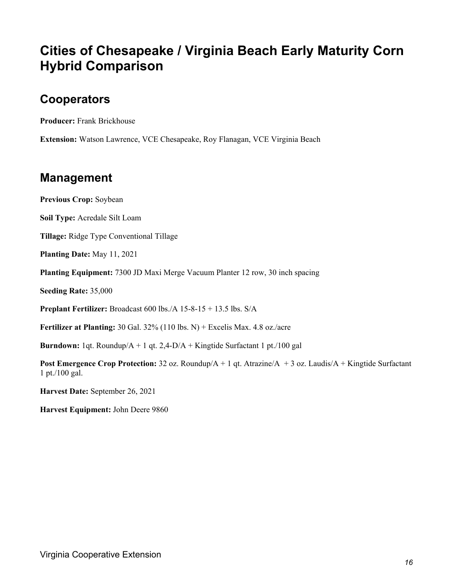### **Cities of Chesapeake / Virginia Beach Early Maturity Corn Hybrid Comparison**

#### **Cooperators**

**Producer:** Frank Brickhouse

**Extension:** Watson Lawrence, VCE Chesapeake, Roy Flanagan, VCE Virginia Beach

#### **Management**

**Previous Crop:** Soybean

**Soil Type:** Acredale Silt Loam

**Tillage:** Ridge Type Conventional Tillage

**Planting Date:** May 11, 2021

**Planting Equipment:** 7300 JD Maxi Merge Vacuum Planter 12 row, 30 inch spacing

**Seeding Rate:** 35,000

**Preplant Fertilizer:** Broadcast 600 lbs./A 15-8-15 + 13.5 lbs. S/A

**Fertilizer at Planting:** 30 Gal. 32% (110 lbs. N) + Excelis Max. 4.8 oz./acre

**Burndown:** 1qt. Roundup/A + 1 qt. 2,4-D/A + Kingtide Surfactant 1 pt./100 gal

**Post Emergence Crop Protection:** 32 oz. Roundup/A + 1 qt. Atrazine/A + 3 oz. Laudis/A + Kingtide Surfactant 1 pt./100 gal.

**Harvest Date:** September 26, 2021

**Harvest Equipment:** John Deere 9860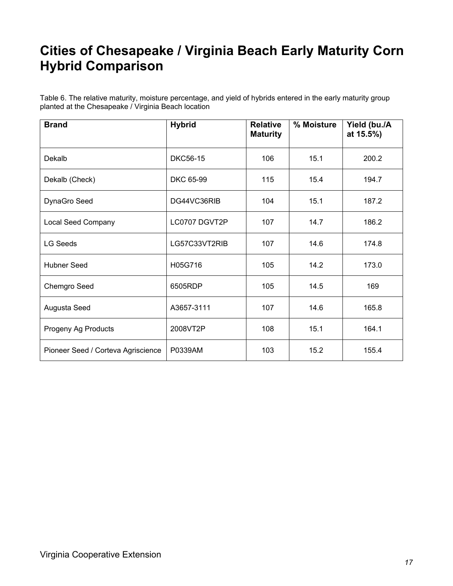### **Cities of Chesapeake / Virginia Beach Early Maturity Corn Hybrid Comparison**

Table 6. The relative maturity, moisture percentage, and yield of hybrids entered in the early maturity group planted at the Chesapeake / Virginia Beach location

| <b>Brand</b>                       | <b>Hybrid</b>   | <b>Relative</b><br><b>Maturity</b> | % Moisture | Yield (bu./A<br>at 15.5%) |
|------------------------------------|-----------------|------------------------------------|------------|---------------------------|
| Dekalb                             | <b>DKC56-15</b> | 106                                | 15.1       | 200.2                     |
| Dekalb (Check)                     | DKC 65-99       | 115                                | 15.4       | 194.7                     |
| DynaGro Seed                       | DG44VC36RIB     | 104                                | 15.1       | 187.2                     |
| <b>Local Seed Company</b>          | LC0707 DGVT2P   | 107                                | 14.7       | 186.2                     |
| <b>LG Seeds</b>                    | LG57C33VT2RIB   | 107                                | 14.6       | 174.8                     |
| Hubner Seed                        | H05G716         | 105                                | 14.2       | 173.0                     |
| Chemgro Seed                       | 6505RDP         | 105                                | 14.5       | 169                       |
| Augusta Seed                       | A3657-3111      | 107                                | 14.6       | 165.8                     |
| Progeny Ag Products                | 2008VT2P        | 108                                | 15.1       | 164.1                     |
| Pioneer Seed / Corteva Agriscience | P0339AM         | 103                                | 15.2       | 155.4                     |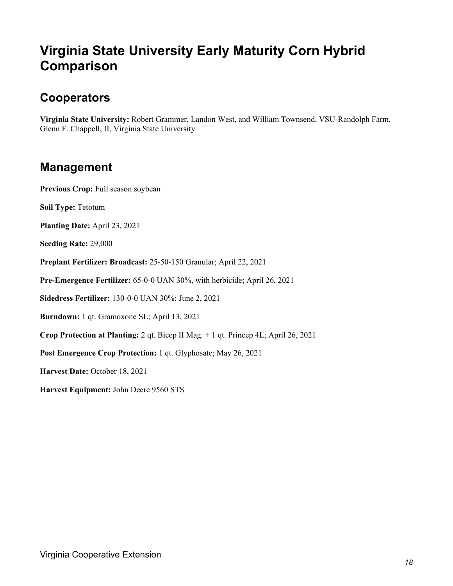### **Virginia State University Early Maturity Corn Hybrid Comparison**

#### **Cooperators**

**Virginia State University:** Robert Grammer, Landon West, and William Townsend, VSU-Randolph Farm, Glenn F. Chappell, II, Virginia State University

#### **Management**

**Previous Crop:** Full season soybean

**Soil Type:** Tetotum

**Planting Date:** April 23, 2021

**Seeding Rate:** 29,000

**Preplant Fertilizer: Broadcast:** 25-50-150 Granular; April 22, 2021

**Pre-Emergence Fertilizer:** 65-0-0 UAN 30%, with herbicide; April 26, 2021

**Sidedress Fertilizer:** 130-0-0 UAN 30%; June 2, 2021

**Burndown:** 1 qt. Gramoxone SL; April 13, 2021

**Crop Protection at Planting:** 2 qt. Bicep II Mag. + 1 qt. Princep 4L; April 26, 2021

**Post Emergence Crop Protection:** 1 qt. Glyphosate; May 26, 2021

**Harvest Date:** October 18, 2021

**Harvest Equipment:** John Deere 9560 STS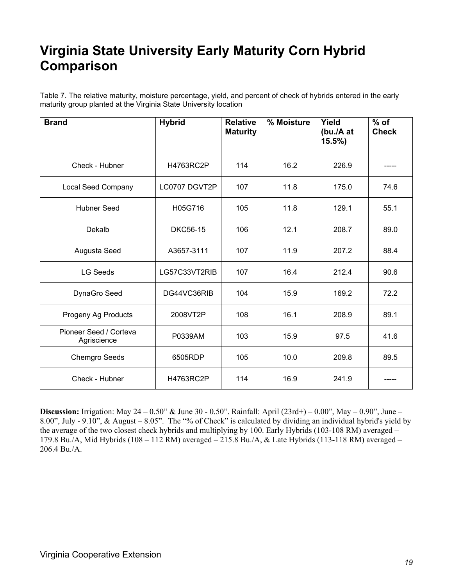### **Virginia State University Early Maturity Corn Hybrid Comparison**

Table 7. The relative maturity, moisture percentage, yield, and percent of check of hybrids entered in the early maturity group planted at the Virginia State University location

| <b>Brand</b>                          | <b>Hybrid</b>   | <b>Relative</b><br><b>Maturity</b> | % Moisture | Yield<br>(bu./A at<br>$15.5\%$ | $%$ of<br><b>Check</b> |
|---------------------------------------|-----------------|------------------------------------|------------|--------------------------------|------------------------|
| Check - Hubner                        | H4763RC2P       | 114                                | 16.2       | 226.9                          |                        |
| Local Seed Company                    | LC0707 DGVT2P   | 107                                | 11.8       | 175.0                          | 74.6                   |
| <b>Hubner Seed</b>                    | H05G716         | 105                                | 11.8       | 129.1                          | 55.1                   |
| Dekalb                                | <b>DKC56-15</b> | 106                                | 12.1       | 208.7                          | 89.0                   |
| Augusta Seed                          | A3657-3111      | 107                                | 11.9       | 207.2                          | 88.4                   |
| <b>LG Seeds</b>                       | LG57C33VT2RIB   | 107                                | 16.4       | 212.4                          | 90.6                   |
| DynaGro Seed                          | DG44VC36RIB     | 104                                | 15.9       | 169.2                          | 72.2                   |
| Progeny Ag Products                   | 2008VT2P        | 108                                | 16.1       | 208.9                          | 89.1                   |
| Pioneer Seed / Corteva<br>Agriscience | P0339AM         | 103                                | 15.9       | 97.5                           | 41.6                   |
| <b>Chemgro Seeds</b>                  | 6505RDP         | 105                                | 10.0       | 209.8                          | 89.5                   |
| Check - Hubner                        | H4763RC2P       | 114                                | 16.9       | 241.9                          |                        |

**Discussion:** Irrigation: May 24 – 0.50" & June 30 - 0.50". Rainfall: April (23rd+) – 0.00", May – 0.90", June – 8.00", July - 9.10", & August – 8.05". The "% of Check" is calculated by dividing an individual hybrid's yield by the average of the two closest check hybrids and multiplying by 100. Early Hybrids (103-108 RM) averaged – 179.8 Bu./A, Mid Hybrids (108 – 112 RM) averaged – 215.8 Bu./A, & Late Hybrids (113-118 RM) averaged – 206.4 Bu./A.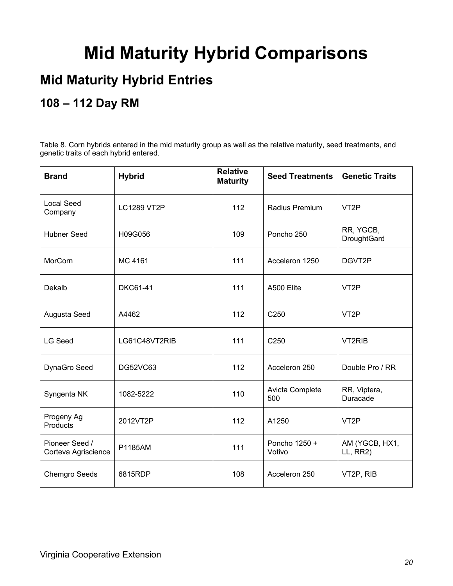## **Mid Maturity Hybrid Comparisons**

### **Mid Maturity Hybrid Entries**

### **108 – 112 Day RM**

Table 8. Corn hybrids entered in the mid maturity group as well as the relative maturity, seed treatments, and genetic traits of each hybrid entered.

| <b>Brand</b>                          | <b>Hybrid</b>      | <b>Relative</b><br><b>Maturity</b> | <b>Seed Treatments</b>  | <b>Genetic Traits</b>      |
|---------------------------------------|--------------------|------------------------------------|-------------------------|----------------------------|
| <b>Local Seed</b><br>Company          | <b>LC1289 VT2P</b> | 112                                | Radius Premium          | VT <sub>2</sub> P          |
| <b>Hubner Seed</b>                    | H09G056            | 109                                | Poncho 250              | RR, YGCB,<br>DroughtGard   |
| MorCorn                               | MC 4161            | 111                                | Acceleron 1250          | DGVT2P                     |
| Dekalb                                | <b>DKC61-41</b>    | 111                                | A500 Elite              | VT <sub>2</sub> P          |
| Augusta Seed                          | A4462              | 112                                | C250                    | VT <sub>2</sub> P          |
| <b>LG Seed</b>                        | LG61C48VT2RIB      | 111                                | C250                    | VT2RIB                     |
| DynaGro Seed                          | <b>DG52VC63</b>    | 112                                | Acceleron 250           | Double Pro / RR            |
| Syngenta NK                           | 1082-5222          | 110                                | Avicta Complete<br>500  | RR, Viptera,<br>Duracade   |
| Progeny Ag<br>Products                | 2012VT2P           | 112                                | A1250                   | VT <sub>2</sub> P          |
| Pioneer Seed /<br>Corteva Agriscience | P1185AM            | 111                                | Poncho 1250 +<br>Votivo | AM (YGCB, HX1,<br>LL, RR2) |
| <b>Chemgro Seeds</b>                  | 6815RDP            | 108                                | Acceleron 250           | VT2P, RIB                  |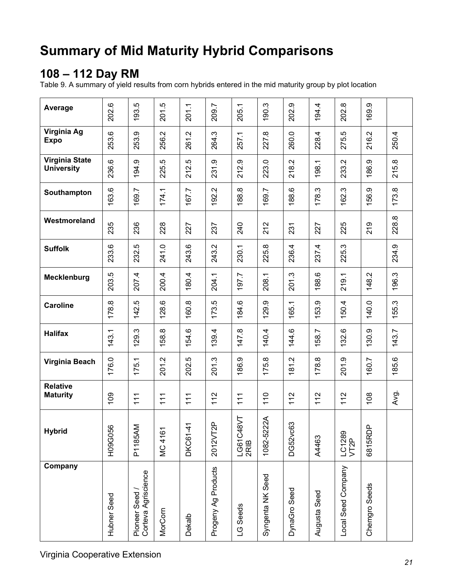## **Summary of Mid Maturity Hybrid Comparisons**

#### **108 – 112 Day RM**

Table 9. A summary of yield results from corn hybrids entered in the mid maturity group by plot location

| Average                                    | 202.6       | 193.5                               | 201.5       | 201.1        | 209.7                | 205.1             | 190.3            | 202.9        | 194.4             | 202.8              | 169.9         |       |
|--------------------------------------------|-------------|-------------------------------------|-------------|--------------|----------------------|-------------------|------------------|--------------|-------------------|--------------------|---------------|-------|
| Virginia Ag<br><b>Expo</b>                 | 253.6       | 253.9                               | 256.2       | 261.2        | 264.3                | 257.1             | 227.8            | 260.0        | 228.4             | rò<br>275.         | 216.2         | 250.4 |
| <b>Virginia State</b><br><b>University</b> | 236.6       | 194.9                               | rò.<br>225. | 212.5        | 231.9                | 212.9             | 223.0            | 218.2        | 198.1             | 233.2              | 186.9         | 215.8 |
| Southampton                                | 163.6       | 169.7                               | 174.1       | 167.7        | $\mathbf{N}$<br>192. | 188.8             | 169.7            | 188.6        | <u>က္</u><br>178. | 162.3              | 156.9         | 173.8 |
| Westmoreland                               | 235         | 236                                 | 228         | 227          | 237                  | 240               | 212              | 231          | 227               | 225                | 219           | 228.8 |
| <b>Suffolk</b>                             | 233.6       | 232.5                               | 241.0       | 243.6        | 243.2                | 230.1             | 225.8            | 236.4        | 237.4             | 225.3              |               | 234.9 |
| Mecklenburg                                | 203.5       | 207.4                               | 200.4       | 180.4        | 204.1                | 197.7             | 208.1            | 201.3        | 188.6             | 219.1              | 148.2         | 196.3 |
| <b>Caroline</b>                            | 178.8       | 142.5                               | 128.6       | 160.8        | 173.5                | 184.6             | 129.9            | 165.1        | 153.9             | 150.4              | 140.0         | 155.3 |
| <b>Halifax</b>                             | 143.1       | 129.3                               | 158.8       | 154.6        | 139.4                | $\infty$<br>147   | 140.4            | 144.6        | 158.7             | 132.6              | 130.9         | 143.7 |
| Virginia Beach                             | 176.0       | 175.1                               | 201.2       | 202.5        | 201.3                | 186.9             | 175.8            | 181.2        | 178.8             | 201.9              | 160.7         | 185.6 |
| <b>Relative</b><br><b>Maturity</b>         | 109         | 111                                 | 111         | 111          | 112                  | 111               | 110              | 112          | 112               | 112                | 108           | Avg.  |
| <b>Hybrid</b>                              | H09G056     | P1185AM                             | MC 4161     | ᠇<br>DKC61-4 | ௳<br>2012VT2         | LG61C48VT<br>2RIB | 1082-5222A       | ဣ<br>DG52vc6 | A4463             | LC1289<br>VT2P     | 6815RDP       |       |
| Company                                    | Hubner Seed | Corteva Agriscience<br>Pioneer Seed | MorCorn     | Dekalb       | Progeny Ag Products  | LG Seeds          | Syngenta NK Seed | DynaGro Seed | Augusta Seed      | Local Seed Company | Chemgro Seeds |       |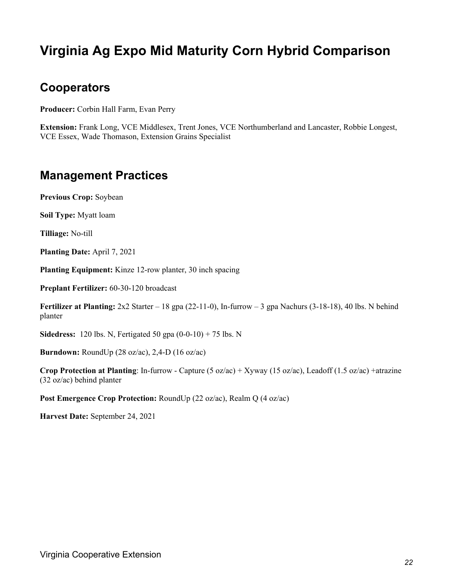### **Virginia Ag Expo Mid Maturity Corn Hybrid Comparison**

#### **Cooperators**

**Producer:** Corbin Hall Farm, Evan Perry

**Extension:** Frank Long, VCE Middlesex, Trent Jones, VCE Northumberland and Lancaster, Robbie Longest, VCE Essex, Wade Thomason, Extension Grains Specialist

#### **Management Practices**

**Previous Crop:** Soybean

**Soil Type:** Myatt loam

**Tilliage:** No-till

**Planting Date:** April 7, 2021

**Planting Equipment:** Kinze 12-row planter, 30 inch spacing

**Preplant Fertilizer:** 60-30-120 broadcast

**Fertilizer at Planting:** 2x2 Starter – 18 gpa (22-11-0), In-furrow – 3 gpa Nachurs (3-18-18), 40 lbs. N behind planter

**Sidedress:** 120 lbs. N, Fertigated 50 gpa (0-0-10) + 75 lbs. N

**Burndown:** RoundUp (28 oz/ac), 2,4-D (16 oz/ac)

**Crop Protection at Planting**: In-furrow - Capture (5 oz/ac) + Xyway (15 oz/ac), Leadoff (1.5 oz/ac) +atrazine (32 oz/ac) behind planter

**Post Emergence Crop Protection:** RoundUp (22 oz/ac), Realm Q (4 oz/ac)

**Harvest Date:** September 24, 2021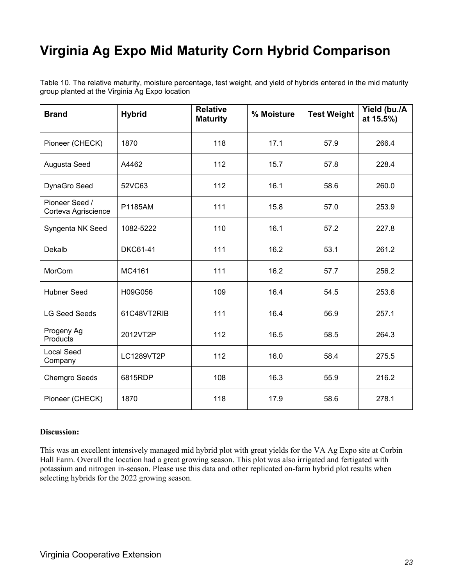## **Virginia Ag Expo Mid Maturity Corn Hybrid Comparison**

Table 10. The relative maturity, moisture percentage, test weight, and yield of hybrids entered in the mid maturity group planted at the Virginia Ag Expo location

| <b>Brand</b>                          | <b>Hybrid</b>          | <b>Relative</b><br><b>Maturity</b> | % Moisture | <b>Test Weight</b> | Yield (bu./A<br>at 15.5%) |
|---------------------------------------|------------------------|------------------------------------|------------|--------------------|---------------------------|
| Pioneer (CHECK)                       | 1870                   | 118                                | 17.1       | 57.9               | 266.4                     |
| Augusta Seed                          | A4462                  | 112                                | 15.7       | 57.8               | 228.4                     |
| DynaGro Seed                          | 52VC63                 | 112                                | 16.1       | 58.6               | 260.0                     |
| Pioneer Seed /<br>Corteva Agriscience | P1185AM                | 111                                | 15.8       | 57.0               | 253.9                     |
| Syngenta NK Seed                      | 1082-5222              | 110<br>16.1                        |            | 57.2               | 227.8                     |
| Dekalb                                | 111<br><b>DKC61-41</b> |                                    | 16.2       | 53.1               | 261.2                     |
| MorCorn                               | MC4161                 | 111                                | 16.2       | 57.7               | 256.2                     |
| <b>Hubner Seed</b>                    | H09G056                | 109                                | 16.4       | 54.5               | 253.6                     |
| <b>LG Seed Seeds</b>                  | 61C48VT2RIB            | 111                                | 16.4       | 56.9               | 257.1                     |
| Progeny Ag<br>Products                | 2012VT2P               | 112                                | 16.5       | 58.5               | 264.3                     |
| <b>Local Seed</b><br>Company          | LC1289VT2P             | 112                                | 16.0       | 58.4               | 275.5                     |
| <b>Chemgro Seeds</b>                  | 6815RDP                | 108                                | 16.3       | 55.9               | 216.2                     |
| Pioneer (CHECK)                       | 1870                   | 118                                | 17.9       | 58.6               | 278.1                     |

#### **Discussion:**

This was an excellent intensively managed mid hybrid plot with great yields for the VA Ag Expo site at Corbin Hall Farm. Overall the location had a great growing season. This plot was also irrigated and fertigated with potassium and nitrogen in-season. Please use this data and other replicated on-farm hybrid plot results when selecting hybrids for the 2022 growing season.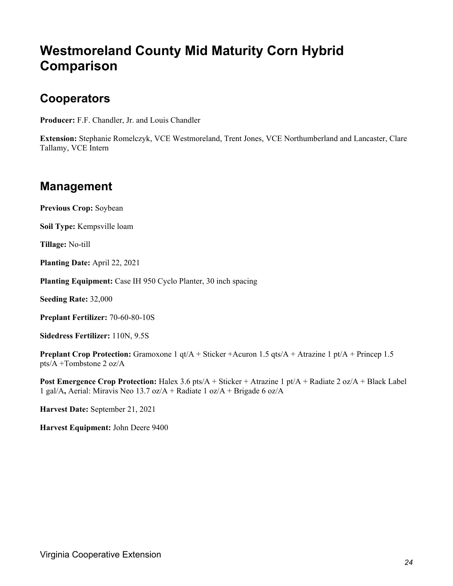### **Westmoreland County Mid Maturity Corn Hybrid Comparison**

#### **Cooperators**

**Producer:** F.F. Chandler, Jr. and Louis Chandler

**Extension:** Stephanie Romelczyk, VCE Westmoreland, Trent Jones, VCE Northumberland and Lancaster, Clare Tallamy, VCE Intern

#### **Management**

**Previous Crop:** Soybean

**Soil Type:** Kempsville loam

**Tillage:** No-till

**Planting Date:** April 22, 2021

**Planting Equipment:** Case IH 950 Cyclo Planter, 30 inch spacing

**Seeding Rate:** 32,000

**Preplant Fertilizer:** 70-60-80-10S

**Sidedress Fertilizer:** 110N, 9.5S

**Preplant Crop Protection:** Gramoxone 1 qt/A + Sticker +Acuron 1.5 qts/A + Atrazine 1 pt/A + Princep 1.5 pts/A +Tombstone 2 oz/A

**Post Emergence Crop Protection:** Halex 3.6 pts/A + Sticker + Atrazine 1 pt/A + Radiate 2 oz/A + Black Label 1 gal/A**,** Aerial: Miravis Neo 13.7 oz/A + Radiate 1 oz/A + Brigade 6 oz/A

**Harvest Date:** September 21, 2021

**Harvest Equipment:** John Deere 9400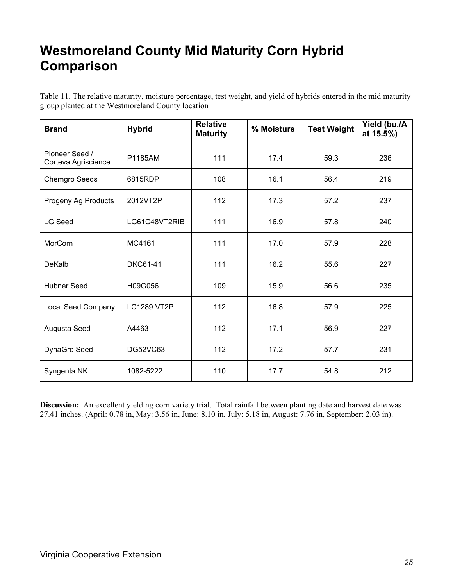### **Westmoreland County Mid Maturity Corn Hybrid Comparison**

Table 11. The relative maturity, moisture percentage, test weight, and yield of hybrids entered in the mid maturity group planted at the Westmoreland County location

| <b>Brand</b>                          | <b>Hybrid</b>      | <b>Relative</b><br><b>Maturity</b> | % Moisture | <b>Test Weight</b> | Yield (bu./A<br>at 15.5%) |
|---------------------------------------|--------------------|------------------------------------|------------|--------------------|---------------------------|
| Pioneer Seed /<br>Corteva Agriscience | P1185AM            | 111                                | 17.4       | 59.3               | 236                       |
| <b>Chemgro Seeds</b>                  | 6815RDP            | 108                                | 16.1       | 56.4               | 219                       |
| Progeny Ag Products                   | 2012VT2P           | 112                                | 17.3       | 57.2               | 237                       |
| <b>LG Seed</b>                        | LG61C48VT2RIB      | 111                                | 16.9       | 57.8               | 240                       |
| MorCorn                               | 111<br>MC4161      |                                    | 17.0       | 57.9               | 228                       |
| DeKalb                                | <b>DKC61-41</b>    | 111                                | 16.2       | 55.6               | 227                       |
| <b>Hubner Seed</b>                    | H09G056            | 109                                | 15.9       | 56.6               | 235                       |
| <b>Local Seed Company</b>             | <b>LC1289 VT2P</b> | 112                                | 16.8       | 57.9               | 225                       |
| Augusta Seed                          | A4463              | 112                                | 17.1       | 56.9               | 227                       |
| DynaGro Seed                          | <b>DG52VC63</b>    | 112                                | 17.2       | 57.7               | 231                       |
| Syngenta NK                           | 1082-5222          | 110                                | 17.7       | 54.8               | 212                       |

**Discussion:** An excellent yielding corn variety trial. Total rainfall between planting date and harvest date was 27.41 inches. (April: 0.78 in, May: 3.56 in, June: 8.10 in, July: 5.18 in, August: 7.76 in, September: 2.03 in).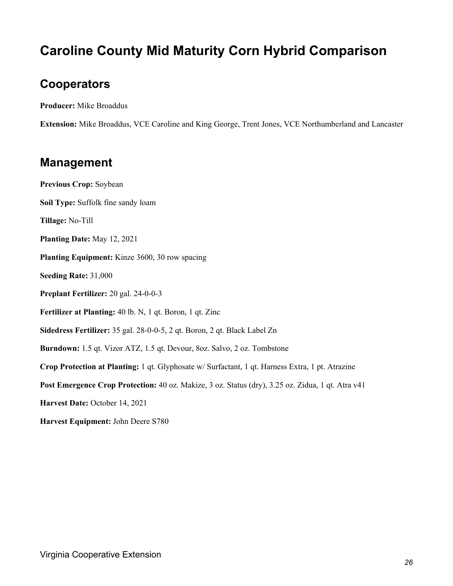### **Caroline County Mid Maturity Corn Hybrid Comparison**

#### **Cooperators**

**Producer:** Mike Broaddus

**Extension:** Mike Broaddus, VCE Caroline and King George, Trent Jones, VCE Northumberland and Lancaster

#### **Management**

**Previous Crop:** Soybean **Soil Type:** Suffolk fine sandy loam **Tillage:** No-Till **Planting Date:** May 12, 2021 **Planting Equipment:** Kinze 3600, 30 row spacing **Seeding Rate:** 31,000 **Preplant Fertilizer:** 20 gal. 24-0-0-3 **Fertilizer at Planting:** 40 lb. N, 1 qt. Boron, 1 qt. Zinc **Sidedress Fertilizer:** 35 gal. 28-0-0-5, 2 qt. Boron, 2 qt. Black Label Zn **Burndown:** 1.5 qt. Vizor ATZ, 1.5 qt. Devour, 8oz. Salvo, 2 oz. Tombstone **Crop Protection at Planting:** 1 qt. Glyphosate w/ Surfactant, 1 qt. Harness Extra, 1 pt. Atrazine Post Emergence Crop Protection: 40 oz. Makize, 3 oz. Status (dry), 3.25 oz. Zidua, 1 qt. Atra v41 **Harvest Date:** October 14, 2021

**Harvest Equipment:** John Deere S780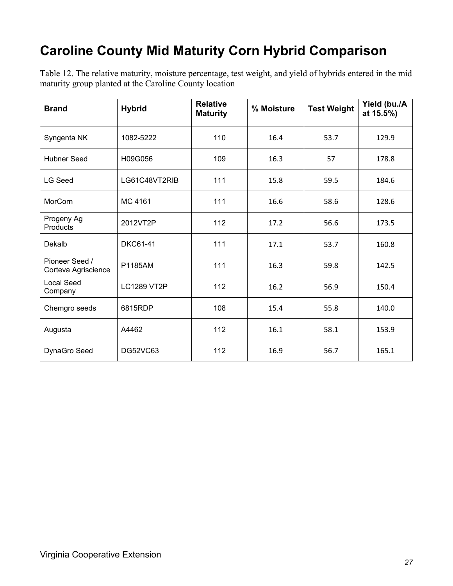## **Caroline County Mid Maturity Corn Hybrid Comparison**

Table 12. The relative maturity, moisture percentage, test weight, and yield of hybrids entered in the mid maturity group planted at the Caroline County location

| <b>Brand</b>                          | <b>Hybrid</b>      | <b>Relative</b><br><b>Maturity</b> | % Moisture | <b>Test Weight</b> | Yield (bu./A<br>at 15.5%) |
|---------------------------------------|--------------------|------------------------------------|------------|--------------------|---------------------------|
| Syngenta NK                           | 1082-5222          | 110                                | 16.4       | 53.7               | 129.9                     |
| <b>Hubner Seed</b>                    | H09G056            | 109                                | 16.3       | 57                 | 178.8                     |
| <b>LG Seed</b>                        | LG61C48VT2RIB      | 111                                | 15.8       | 59.5               | 184.6                     |
| MorCorn                               | MC 4161            | 111                                | 16.6       | 58.6               | 128.6                     |
| Progeny Ag<br><b>Products</b>         | 2012VT2P           | 112                                | 17.2       | 56.6               | 173.5                     |
| Dekalb                                | <b>DKC61-41</b>    | 111                                | 17.1       | 53.7               | 160.8                     |
| Pioneer Seed /<br>Corteva Agriscience | P1185AM            | 111                                | 16.3       | 59.8               | 142.5                     |
| <b>Local Seed</b><br>Company          | <b>LC1289 VT2P</b> | 112                                | 16.2       | 56.9               | 150.4                     |
| Chemgro seeds                         | 6815RDP            | 108                                | 15.4       | 55.8               | 140.0                     |
| Augusta                               | A4462              | 112                                | 16.1       | 58.1               | 153.9                     |
| DynaGro Seed                          | <b>DG52VC63</b>    | 112                                | 16.9       | 56.7               | 165.1                     |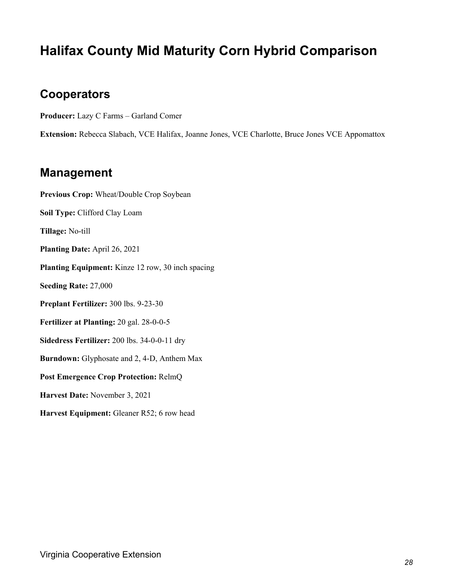### **Halifax County Mid Maturity Corn Hybrid Comparison**

#### **Cooperators**

**Producer:** Lazy C Farms – Garland Comer

**Extension:** Rebecca Slabach, VCE Halifax, Joanne Jones, VCE Charlotte, Bruce Jones VCE Appomattox

#### **Management**

**Previous Crop:** Wheat/Double Crop Soybean **Soil Type:** Clifford Clay Loam **Tillage:** No-till **Planting Date:** April 26, 2021 **Planting Equipment:** Kinze 12 row, 30 inch spacing **Seeding Rate:** 27,000 **Preplant Fertilizer:** 300 lbs. 9-23-30 **Fertilizer at Planting:** 20 gal. 28-0-0-5 **Sidedress Fertilizer:** 200 lbs. 34-0-0-11 dry **Burndown:** Glyphosate and 2, 4-D, Anthem Max **Post Emergence Crop Protection:** RelmQ **Harvest Date:** November 3, 2021 **Harvest Equipment:** Gleaner R52; 6 row head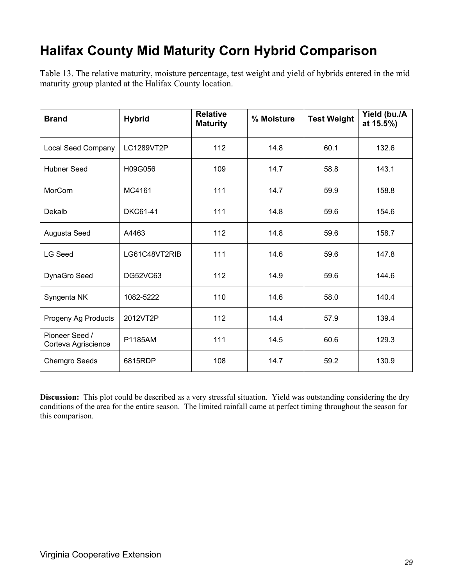## **Halifax County Mid Maturity Corn Hybrid Comparison**

Table 13. The relative maturity, moisture percentage, test weight and yield of hybrids entered in the mid maturity group planted at the Halifax County location.

| <b>Brand</b>                          | <b>Hybrid</b>   | <b>Relative</b><br><b>Maturity</b> | % Moisture | <b>Test Weight</b> | Yield (bu./A<br>at 15.5%) |
|---------------------------------------|-----------------|------------------------------------|------------|--------------------|---------------------------|
| <b>Local Seed Company</b>             | LC1289VT2P      | 112                                | 14.8       | 60.1               | 132.6                     |
| <b>Hubner Seed</b>                    | H09G056         | 109                                | 14.7       | 58.8               | 143.1                     |
| MorCorn                               | MC4161          | 111                                | 14.7       | 59.9               | 158.8                     |
| Dekalb                                | <b>DKC61-41</b> | 111                                | 14.8       | 59.6               | 154.6                     |
| Augusta Seed                          | A4463           | 112                                | 14.8       | 59.6               | 158.7                     |
| <b>LG Seed</b>                        | LG61C48VT2RIB   | 111                                | 14.6       | 59.6               | 147.8                     |
| DynaGro Seed                          | <b>DG52VC63</b> | 112                                | 14.9       | 59.6               | 144.6                     |
| Syngenta NK                           | 1082-5222       | 110                                | 14.6       | 58.0               | 140.4                     |
| Progeny Ag Products                   | 2012VT2P        | 112                                | 14.4       | 57.9               | 139.4                     |
| Pioneer Seed /<br>Corteva Agriscience | P1185AM         | 111                                | 14.5       | 60.6               | 129.3                     |
| <b>Chemgro Seeds</b>                  | 6815RDP         | 108                                | 14.7       | 59.2               | 130.9                     |

**Discussion:** This plot could be described as a very stressful situation. Yield was outstanding considering the dry conditions of the area for the entire season. The limited rainfall came at perfect timing throughout the season for this comparison.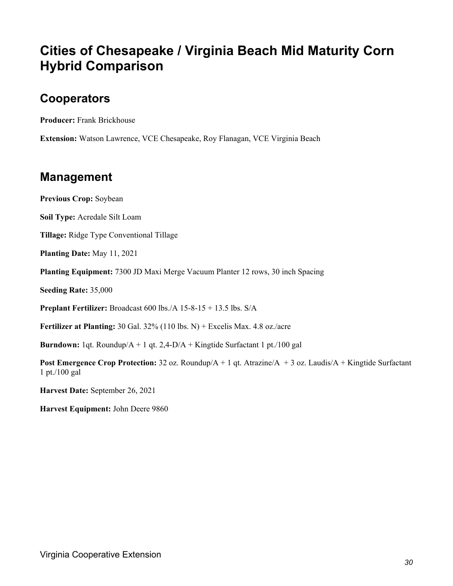### **Cities of Chesapeake / Virginia Beach Mid Maturity Corn Hybrid Comparison**

#### **Cooperators**

**Producer:** Frank Brickhouse

**Extension:** Watson Lawrence, VCE Chesapeake, Roy Flanagan, VCE Virginia Beach

#### **Management**

**Previous Crop:** Soybean

**Soil Type:** Acredale Silt Loam

**Tillage:** Ridge Type Conventional Tillage

**Planting Date:** May 11, 2021

**Planting Equipment:** 7300 JD Maxi Merge Vacuum Planter 12 rows, 30 inch Spacing

**Seeding Rate:** 35,000

**Preplant Fertilizer:** Broadcast 600 lbs./A 15-8-15 + 13.5 lbs. S/A

**Fertilizer at Planting:** 30 Gal. 32% (110 lbs. N) + Excelis Max. 4.8 oz./acre

**Burndown:** 1qt. Roundup/A + 1 qt. 2,4-D/A + Kingtide Surfactant 1 pt./100 gal

**Post Emergence Crop Protection:** 32 oz. Roundup/A + 1 qt. Atrazine/A + 3 oz. Laudis/A + Kingtide Surfactant 1 pt./100 gal

**Harvest Date:** September 26, 2021

**Harvest Equipment:** John Deere 9860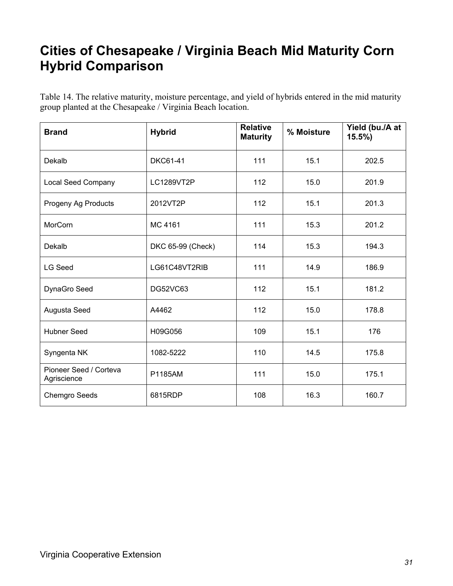### **Cities of Chesapeake / Virginia Beach Mid Maturity Corn Hybrid Comparison**

Table 14. The relative maturity, moisture percentage, and yield of hybrids entered in the mid maturity group planted at the Chesapeake / Virginia Beach location.

| <b>Brand</b>                          | <b>Hybrid</b>     | <b>Relative</b><br><b>Maturity</b> | % Moisture | Yield (bu./A at<br>$15.5\%$ |
|---------------------------------------|-------------------|------------------------------------|------------|-----------------------------|
| Dekalb                                | <b>DKC61-41</b>   | 111                                | 15.1       | 202.5                       |
| <b>Local Seed Company</b>             | LC1289VT2P        | 112                                | 15.0       | 201.9                       |
| Progeny Ag Products                   | 2012VT2P          | 112                                | 15.1       | 201.3                       |
| MorCorn                               | MC 4161           | 111                                | 15.3       | 201.2                       |
| Dekalb                                | DKC 65-99 (Check) | 114                                | 15.3       | 194.3                       |
| <b>LG Seed</b>                        | LG61C48VT2RIB     | 111                                | 14.9       | 186.9                       |
| DynaGro Seed                          | <b>DG52VC63</b>   | 112                                | 15.1       | 181.2                       |
| Augusta Seed                          | A4462             | 112                                | 15.0       | 178.8                       |
| <b>Hubner Seed</b>                    | H09G056           | 109                                | 15.1       | 176                         |
| Syngenta NK                           | 1082-5222         | 110                                | 14.5       | 175.8                       |
| Pioneer Seed / Corteva<br>Agriscience | P1185AM           | 111                                | 15.0       | 175.1                       |
| <b>Chemgro Seeds</b>                  | 6815RDP           | 108                                | 16.3       | 160.7                       |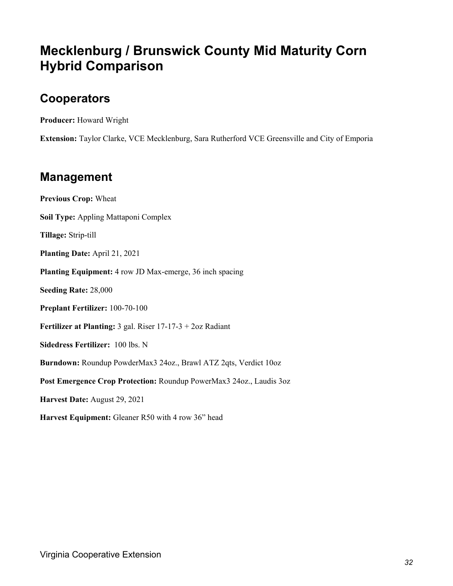### **Mecklenburg / Brunswick County Mid Maturity Corn Hybrid Comparison**

#### **Cooperators**

**Producer:** Howard Wright

**Extension:** Taylor Clarke, VCE Mecklenburg, Sara Rutherford VCE Greensville and City of Emporia

#### **Management**

**Previous Crop:** Wheat **Soil Type:** Appling Mattaponi Complex **Tillage:** Strip-till **Planting Date:** April 21, 2021 **Planting Equipment:** 4 row JD Max-emerge, 36 inch spacing **Seeding Rate:** 28,000 **Preplant Fertilizer:** 100-70-100 **Fertilizer at Planting:** 3 gal. Riser 17-17-3 + 2oz Radiant **Sidedress Fertilizer:** 100 lbs. N **Burndown:** Roundup PowderMax3 24oz., Brawl ATZ 2qts, Verdict 10oz **Post Emergence Crop Protection:** Roundup PowerMax3 24oz., Laudis 3oz **Harvest Date:** August 29, 2021 **Harvest Equipment:** Gleaner R50 with 4 row 36" head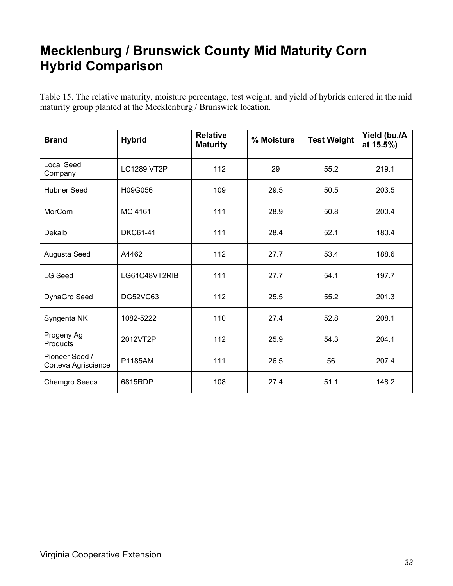### **Mecklenburg / Brunswick County Mid Maturity Corn Hybrid Comparison**

Table 15. The relative maturity, moisture percentage, test weight, and yield of hybrids entered in the mid maturity group planted at the Mecklenburg / Brunswick location.

| <b>Brand</b>                          | <b>Hybrid</b>      | <b>Relative</b><br><b>Maturity</b> | % Moisture | <b>Test Weight</b> | Yield (bu./A<br>at 15.5%) |
|---------------------------------------|--------------------|------------------------------------|------------|--------------------|---------------------------|
| Local Seed<br>Company                 | <b>LC1289 VT2P</b> | 112                                | 29         | 55.2               | 219.1                     |
| <b>Hubner Seed</b>                    | H09G056            | 109                                | 29.5       | 50.5               | 203.5                     |
| <b>MorCorn</b>                        | MC 4161            | 111                                | 28.9       | 50.8               | 200.4                     |
| Dekalb                                | <b>DKC61-41</b>    | 111                                | 28.4       | 52.1               | 180.4                     |
| Augusta Seed                          | A4462              | 112                                | 27.7       | 53.4               | 188.6                     |
| <b>LG Seed</b>                        | LG61C48VT2RIB      | 111                                | 27.7       | 54.1               | 197.7                     |
| DynaGro Seed                          | DG52VC63           | 112                                | 25.5       | 55.2               | 201.3                     |
| Syngenta NK                           | 1082-5222          | 110                                | 27.4       | 52.8               | 208.1                     |
| Progeny Ag<br>Products                | 2012VT2P           | 112                                | 25.9       | 54.3               | 204.1                     |
| Pioneer Seed /<br>Corteva Agriscience | P1185AM            | 111                                | 26.5       | 56                 | 207.4                     |
| <b>Chemgro Seeds</b>                  | 6815RDP            | 108                                | 27.4       | 51.1               | 148.2                     |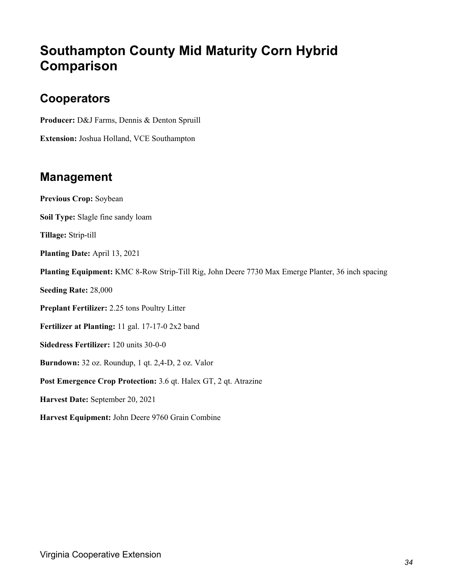### **Southampton County Mid Maturity Corn Hybrid Comparison**

#### **Cooperators**

**Producer:** D&J Farms, Dennis & Denton Spruill

**Extension:** Joshua Holland, VCE Southampton

#### **Management**

**Previous Crop:** Soybean **Soil Type:** Slagle fine sandy loam **Tillage:** Strip-till **Planting Date:** April 13, 2021 **Planting Equipment:** KMC 8-Row Strip-Till Rig, John Deere 7730 Max Emerge Planter, 36 inch spacing **Seeding Rate:** 28,000 **Preplant Fertilizer:** 2.25 tons Poultry Litter **Fertilizer at Planting:** 11 gal. 17-17-0 2x2 band **Sidedress Fertilizer:** 120 units 30-0-0 **Burndown:** 32 oz. Roundup, 1 qt. 2,4-D, 2 oz. Valor **Post Emergence Crop Protection:** 3.6 qt. Halex GT, 2 qt. Atrazine **Harvest Date:** September 20, 2021 **Harvest Equipment:** John Deere 9760 Grain Combine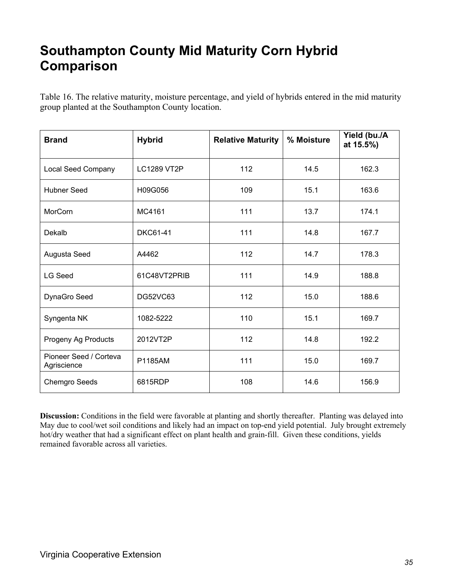### **Southampton County Mid Maturity Corn Hybrid Comparison**

Table 16. The relative maturity, moisture percentage, and yield of hybrids entered in the mid maturity group planted at the Southampton County location.

| <b>Brand</b>                          | <b>Hybrid</b>      | <b>Relative Maturity</b> | % Moisture | Yield (bu./A<br>at 15.5%) |
|---------------------------------------|--------------------|--------------------------|------------|---------------------------|
| <b>Local Seed Company</b>             | <b>LC1289 VT2P</b> | 112                      | 14.5       | 162.3                     |
| <b>Hubner Seed</b>                    | H09G056            | 109                      | 15.1       | 163.6                     |
| MorCorn                               | MC4161             | 111                      | 13.7       | 174.1                     |
| Dekalb                                | <b>DKC61-41</b>    | 111                      | 14.8       | 167.7                     |
| Augusta Seed                          | A4462              | 112                      | 14.7       | 178.3                     |
| <b>LG Seed</b>                        | 61C48VT2PRIB       | 111                      | 14.9       | 188.8                     |
| DynaGro Seed                          | DG52VC63           | 112                      | 15.0       | 188.6                     |
| Syngenta NK                           | 1082-5222          | 110                      | 15.1       | 169.7                     |
| Progeny Ag Products                   | 2012VT2P           | 112                      | 14.8       | 192.2                     |
| Pioneer Seed / Corteva<br>Agriscience | P1185AM            | 111                      | 15.0       | 169.7                     |
| <b>Chemgro Seeds</b>                  | 6815RDP            | 108                      | 14.6       | 156.9                     |

**Discussion:** Conditions in the field were favorable at planting and shortly thereafter. Planting was delayed into May due to cool/wet soil conditions and likely had an impact on top-end yield potential. July brought extremely hot/dry weather that had a significant effect on plant health and grain-fill. Given these conditions, yields remained favorable across all varieties.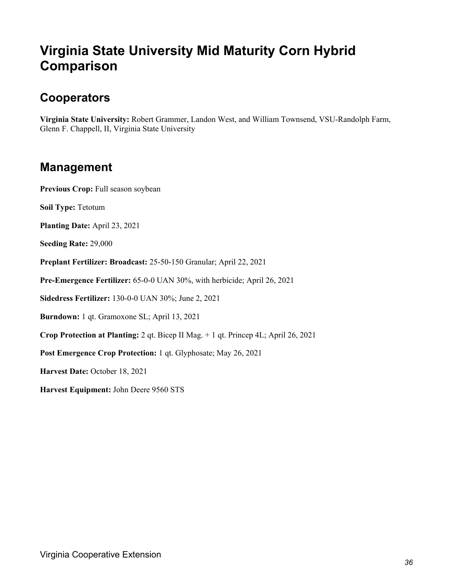### **Virginia State University Mid Maturity Corn Hybrid Comparison**

#### **Cooperators**

**Virginia State University:** Robert Grammer, Landon West, and William Townsend, VSU-Randolph Farm, Glenn F. Chappell, II, Virginia State University

#### **Management**

Previous Crop: Full season soybean

**Soil Type:** Tetotum

**Planting Date:** April 23, 2021

**Seeding Rate:** 29,000

**Preplant Fertilizer: Broadcast:** 25-50-150 Granular; April 22, 2021

**Pre-Emergence Fertilizer:** 65-0-0 UAN 30%, with herbicide; April 26, 2021

**Sidedress Fertilizer:** 130-0-0 UAN 30%; June 2, 2021

**Burndown:** 1 qt. Gramoxone SL; April 13, 2021

**Crop Protection at Planting:** 2 qt. Bicep II Mag. + 1 qt. Princep 4L; April 26, 2021

**Post Emergence Crop Protection:** 1 qt. Glyphosate; May 26, 2021

**Harvest Date:** October 18, 2021

**Harvest Equipment:** John Deere 9560 STS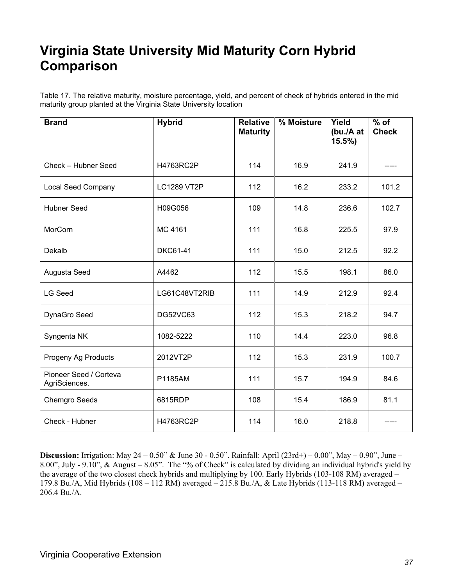### **Virginia State University Mid Maturity Corn Hybrid Comparison**

Table 17. The relative maturity, moisture percentage, yield, and percent of check of hybrids entered in the mid maturity group planted at the Virginia State University location

| <b>Brand</b>                            | <b>Hybrid</b>      | <b>Relative</b><br><b>Maturity</b> | % Moisture | Yield<br>(bu./A at<br>$15.5\%$ | $\overline{\%}$ of<br><b>Check</b> |
|-----------------------------------------|--------------------|------------------------------------|------------|--------------------------------|------------------------------------|
| Check - Hubner Seed                     | H4763RC2P          | 114                                | 16.9       | 241.9                          |                                    |
| <b>Local Seed Company</b>               | <b>LC1289 VT2P</b> | 112                                | 16.2       | 233.2                          | 101.2                              |
| <b>Hubner Seed</b>                      | H09G056            | 109                                | 14.8       | 236.6                          | 102.7                              |
| MorCorn                                 | MC 4161            | 111                                | 16.8       | 225.5                          | 97.9                               |
| Dekalb                                  | <b>DKC61-41</b>    | 111                                | 15.0       | 212.5                          | 92.2                               |
| Augusta Seed                            | A4462              | 112                                | 15.5       | 198.1                          | 86.0                               |
| <b>LG Seed</b>                          | LG61C48VT2RIB      | 111                                | 14.9       | 212.9                          | 92.4                               |
| DynaGro Seed                            | DG52VC63           | 112                                | 15.3       | 218.2                          | 94.7                               |
| Syngenta NK                             | 1082-5222          | 110                                | 14.4       | 223.0                          | 96.8                               |
| Progeny Ag Products                     | 2012VT2P           | 112                                | 15.3       | 231.9                          | 100.7                              |
| Pioneer Seed / Corteva<br>AgriSciences. | P1185AM            | 111                                | 15.7       | 194.9                          | 84.6                               |
| <b>Chemgro Seeds</b>                    | 6815RDP            | 108                                | 15.4       | 186.9                          | 81.1                               |
| Check - Hubner                          | H4763RC2P          | 114                                | 16.0       | 218.8                          |                                    |

**Discussion:** Irrigation: May 24 – 0.50" & June 30 - 0.50". Rainfall: April (23rd+) – 0.00", May – 0.90", June – 8.00", July - 9.10", & August – 8.05". The "% of Check" is calculated by dividing an individual hybrid's yield by the average of the two closest check hybrids and multiplying by 100. Early Hybrids (103-108 RM) averaged – 179.8 Bu./A, Mid Hybrids (108 – 112 RM) averaged – 215.8 Bu./A, & Late Hybrids (113-118 RM) averaged – 206.4 Bu./A.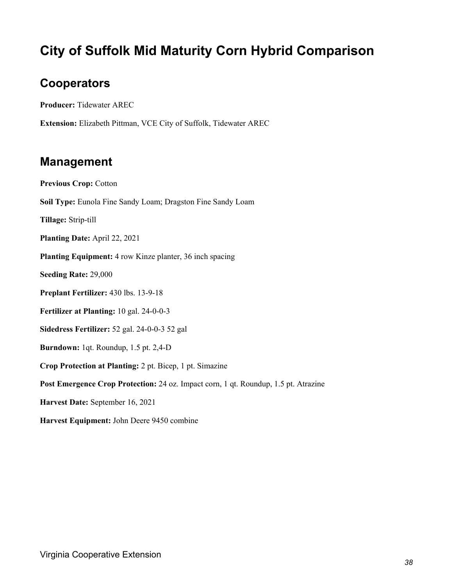### **City of Suffolk Mid Maturity Corn Hybrid Comparison**

#### **Cooperators**

**Producer:** Tidewater AREC

**Extension:** Elizabeth Pittman, VCE City of Suffolk, Tidewater AREC

#### **Management**

**Previous Crop:** Cotton **Soil Type:** Eunola Fine Sandy Loam; Dragston Fine Sandy Loam **Tillage:** Strip-till **Planting Date:** April 22, 2021 **Planting Equipment:** 4 row Kinze planter, 36 inch spacing **Seeding Rate:** 29,000 **Preplant Fertilizer:** 430 lbs. 13-9-18 **Fertilizer at Planting:** 10 gal. 24-0-0-3 **Sidedress Fertilizer:** 52 gal. 24-0-0-3 52 gal **Burndown:** 1qt. Roundup, 1.5 pt. 2,4-D **Crop Protection at Planting:** 2 pt. Bicep, 1 pt. Simazine **Post Emergence Crop Protection:** 24 oz. Impact corn, 1 qt. Roundup, 1.5 pt. Atrazine **Harvest Date:** September 16, 2021 **Harvest Equipment:** John Deere 9450 combine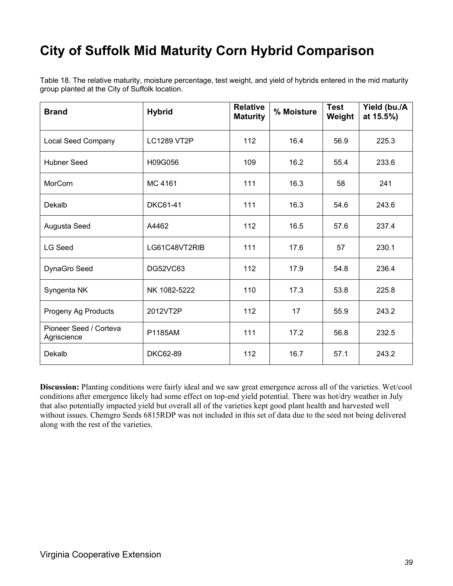### **City of Suffolk Mid Maturity Corn Hybrid Comparison**

Table 18. The relative maturity, moisture percentage, test weight, and yield of hybrids entered in the mid maturity group planted at the City of Suffolk location.

| <b>Brand</b>                          | <b>Hybrid</b>      | <b>Relative</b><br><b>Maturity</b> | % Moisture | <b>Test</b><br>Weight | Yield (bu./A<br>at 15.5%) |
|---------------------------------------|--------------------|------------------------------------|------------|-----------------------|---------------------------|
| <b>Local Seed Company</b>             | <b>LC1289 VT2P</b> | 112                                | 16.4       | 56.9                  | 225.3                     |
| <b>Hubner Seed</b>                    | H09G056            | 109                                | 16.2       | 55.4                  | 233.6                     |
| <b>MorCorn</b>                        | MC 4161            | 111                                | 16.3       | 58                    | 241                       |
| Dekalb                                | <b>DKC61-41</b>    | 111                                | 16.3       | 54.6                  | 243.6                     |
| Augusta Seed                          | A4462              | 112                                | 16.5       | 57.6                  | 237.4                     |
| <b>LG Seed</b>                        | LG61C48VT2RIB      | 111                                | 17.6       | 57                    | 230.1                     |
| DynaGro Seed                          | DG52VC63           | 112                                | 17.9       | 54.8                  | 236.4                     |
| Syngenta NK                           | NK 1082-5222       | 110                                | 17.3       | 53.8                  | 225.8                     |
| Progeny Ag Products                   | 2012VT2P           | 112                                | 17         | 55.9                  | 243.2                     |
| Pioneer Seed / Corteva<br>Agriscience | P1185AM            | 111                                | 17.2       | 56.8                  | 232.5                     |
| Dekalb                                | <b>DKC62-89</b>    | 112                                | 16.7       | 57.1                  | 243.2                     |

**Discussion:** Planting conditions were fairly ideal and we saw great emergence across all of the varieties. Wet/cool conditions after emergence likely had some effect on top-end yield potential. There was hot/dry weather in July that also potentially impacted yield but overall all of the varieties kept good plant health and harvested well without issues. Chemgro Seeds 6815RDP was not included in this set of data due to the seed not being delivered along with the rest of the varieties.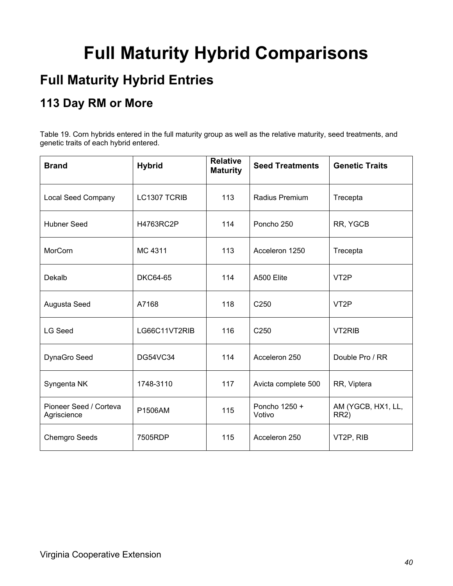# **Full Maturity Hybrid Comparisons**

### **Full Maturity Hybrid Entries**

### **113 Day RM or More**

Table 19. Corn hybrids entered in the full maturity group as well as the relative maturity, seed treatments, and genetic traits of each hybrid entered.

| <b>Brand</b>                          | <b>Hybrid</b>   | <b>Relative</b><br><b>Maturity</b> | <b>Seed Treatments</b>  | <b>Genetic Traits</b>                   |
|---------------------------------------|-----------------|------------------------------------|-------------------------|-----------------------------------------|
| <b>Local Seed Company</b>             | LC1307 TCRIB    | 113                                | <b>Radius Premium</b>   | Trecepta                                |
| <b>Hubner Seed</b>                    | H4763RC2P       | 114                                | Poncho 250              | RR, YGCB                                |
| MorCorn                               | MC 4311         | 113                                | Acceleron 1250          | Trecepta                                |
| Dekalb                                | <b>DKC64-65</b> | 114                                | A500 Elite              | VT <sub>2</sub> P                       |
| Augusta Seed                          | A7168           | 118                                | C250                    | VT <sub>2</sub> P                       |
| <b>LG Seed</b>                        | LG66C11VT2RIB   | 116                                | C <sub>250</sub>        | VT2RIB                                  |
| DynaGro Seed                          | <b>DG54VC34</b> | 114                                | Acceleron 250           | Double Pro / RR                         |
| Syngenta NK                           | 1748-3110       | 117                                | Avicta complete 500     | RR, Viptera                             |
| Pioneer Seed / Corteva<br>Agriscience | P1506AM         | 115                                | Poncho 1250 +<br>Votivo | AM (YGCB, HX1, LL,<br>RR <sub>2</sub> ) |
| <b>Chemgro Seeds</b>                  | 7505RDP         | 115                                | Acceleron 250           | VT2P, RIB                               |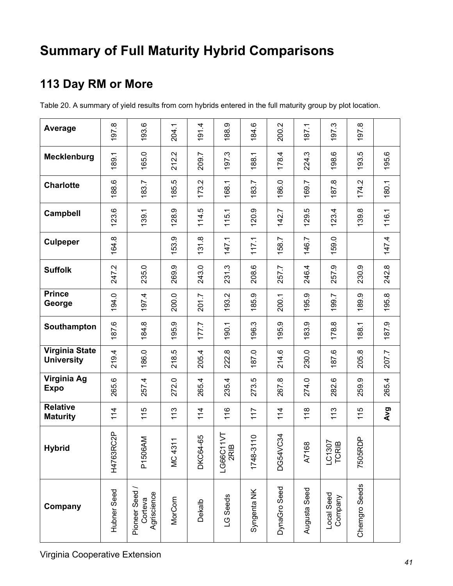### **Summary of Full Maturity Hybrid Comparisons**

### **113 Day RM or More**

Table 20. A summary of yield results from corn hybrids entered in the full maturity group by plot location.

| Average                                    | 97.8        | 193.6                                  | 204.1          | 4<br>$\overline{5}$ | 188.9                                                             | 184.6         | 200.2        | 187.1        | <b>ن</b><br>97                         | $\infty$<br>50 |       |
|--------------------------------------------|-------------|----------------------------------------|----------------|---------------------|-------------------------------------------------------------------|---------------|--------------|--------------|----------------------------------------|----------------|-------|
| <b>Mecklenburg</b>                         | 189.1       | 165.0                                  | 212.2          | 209.7               | 197.3                                                             | 188.1         | 178.4        | 224.3        | 198.6                                  | 193.5          | 195.6 |
| <b>Charlotte</b>                           | 188.6       | 183.7                                  | 185.5          | 173.2               | 168.1                                                             | 183.7         | 186.0        | 169.7        | $\infty$<br>87.                        | Ņ<br>174.      | 180.1 |
| <b>Campbell</b>                            | 123.6       | 139.1                                  | 128.9          | 114.5               | 115.1                                                             | 120.9         | 142.7        | 129.5        | 123.4                                  | 139.8          | 116.1 |
| <b>Culpeper</b>                            | 164.8       |                                        | 153.9          | 131.8               | 147.1                                                             | 117.1         | 158.7        | 146.7        | 159.0                                  |                | 147.4 |
| <b>Suffolk</b>                             | 247.2       | 235.0                                  | 269.9          | 243.0               | 231.3                                                             | 208.6         | 257.7        | 246.4        | 257.9                                  | 230.9          | 242.8 |
| <b>Prince</b><br>George                    | 194.0       | 197.4                                  | 200.0          | 201.7               | 193.2                                                             | 185.9         | 200.1        | 195.9        | 99.7                                   | 189.9          | 195.8 |
| Southampton                                | 187.6       | 184.8                                  | 195.9          | 177.7               | 90.1                                                              | 196.3         | 195.9        | 183.9        | 178.8                                  | 188.1          | 187.9 |
| <b>Virginia State</b><br><b>University</b> | 219.4       | 186.0                                  | 218.5          | 205.4               | 222.8                                                             | 187.0         | 214.6        | 230.0        | 87.6                                   | 205.8          | 207.7 |
| Virginia Ag<br><b>Expo</b>                 | 265.6       | 257.4                                  | 272.0          | 265.4               | 235.4                                                             | 273.5         | 267.8        | 274.0        | 282.6                                  | 259.9          | 265.4 |
| <b>Relative</b><br><b>Maturity</b>         | 114         | 115                                    | 113            | 114                 | 116                                                               | 117           | 114          | 118          | 113                                    | 115            | Avg   |
| <b>Hybrid</b>                              | H4763RC2P   | <b>NN</b><br>P <sub>1506</sub>         | <b>MC 4311</b> | DKC64-65            | $11\sqrt{T}$<br>$\boldsymbol{\underline{\omega}}$<br>LG66C1<br>2R | 110<br>1748-3 | C34<br>DG54V | A7168        | $\overline{9}$ $\overline{9}$<br>LC130 | 7505RDP        |       |
| Company                                    | Hubner Seed | Pioneer Seed<br>Agriscience<br>Corteva | MorCorn        | Dekalb              | LG Seeds                                                          | Syngenta NK   | DynaGro Seed | Augusta Seed | Local Seed<br>Company                  | Chemgro Seeds  |       |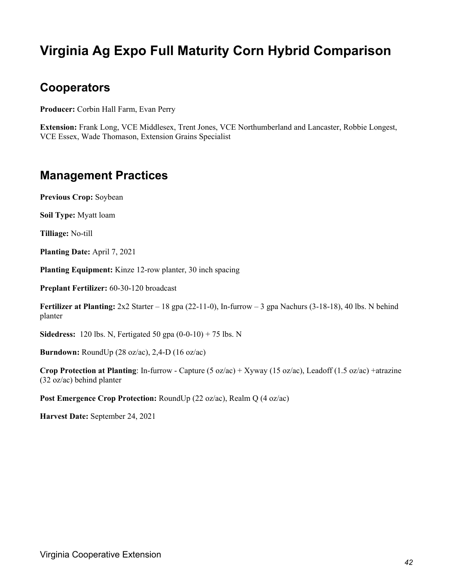### **Virginia Ag Expo Full Maturity Corn Hybrid Comparison**

#### **Cooperators**

**Producer:** Corbin Hall Farm, Evan Perry

**Extension:** Frank Long, VCE Middlesex, Trent Jones, VCE Northumberland and Lancaster, Robbie Longest, VCE Essex, Wade Thomason, Extension Grains Specialist

#### **Management Practices**

**Previous Crop:** Soybean

**Soil Type:** Myatt loam

**Tilliage:** No-till

**Planting Date:** April 7, 2021

**Planting Equipment:** Kinze 12-row planter, 30 inch spacing

**Preplant Fertilizer:** 60-30-120 broadcast

**Fertilizer at Planting:** 2x2 Starter – 18 gpa (22-11-0), In-furrow – 3 gpa Nachurs (3-18-18), 40 lbs. N behind planter

**Sidedress:** 120 lbs. N, Fertigated 50 gpa (0-0-10) + 75 lbs. N

**Burndown:** RoundUp (28 oz/ac), 2,4-D (16 oz/ac)

**Crop Protection at Planting**: In-furrow - Capture (5 oz/ac) + Xyway (15 oz/ac), Leadoff (1.5 oz/ac) +atrazine (32 oz/ac) behind planter

**Post Emergence Crop Protection:** RoundUp (22 oz/ac), Realm Q (4 oz/ac)

**Harvest Date:** September 24, 2021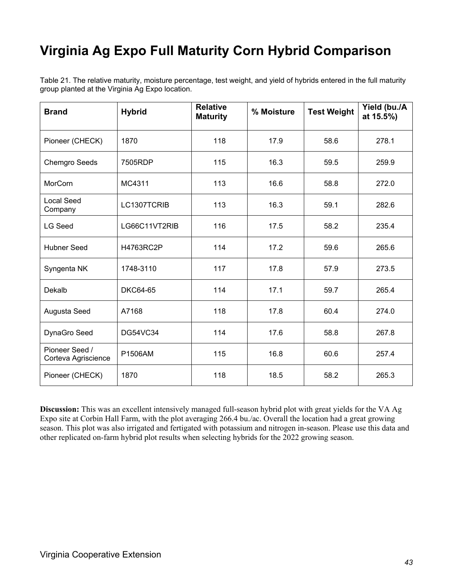## **Virginia Ag Expo Full Maturity Corn Hybrid Comparison**

Table 21. The relative maturity, moisture percentage, test weight, and yield of hybrids entered in the full maturity group planted at the Virginia Ag Expo location.

| <b>Brand</b>                          | <b>Hybrid</b>   | <b>Relative</b><br><b>Maturity</b> | % Moisture | <b>Test Weight</b> | Yield (bu./A<br>at 15.5%) |
|---------------------------------------|-----------------|------------------------------------|------------|--------------------|---------------------------|
| Pioneer (CHECK)                       | 1870            | 118                                | 17.9       | 58.6               | 278.1                     |
| <b>Chemgro Seeds</b>                  | 7505RDP         | 115                                | 16.3       | 59.5               | 259.9                     |
| MorCorn                               | MC4311          | 113                                | 16.6       | 58.8               | 272.0                     |
| <b>Local Seed</b><br>Company          | LC1307TCRIB     | 113                                | 16.3       | 59.1               | 282.6                     |
| <b>LG Seed</b>                        | LG66C11VT2RIB   | 116                                | 17.5       | 58.2               | 235.4                     |
| <b>Hubner Seed</b>                    | H4763RC2P       | 114                                | 17.2       | 59.6               | 265.6                     |
| Syngenta NK                           | 1748-3110       | 117                                | 17.8       | 57.9               | 273.5                     |
| Dekalb                                | <b>DKC64-65</b> | 114                                | 17.1       | 59.7               | 265.4                     |
| Augusta Seed                          | A7168           | 118                                | 17.8       | 60.4               | 274.0                     |
| DynaGro Seed                          | <b>DG54VC34</b> | 114                                | 17.6       | 58.8               | 267.8                     |
| Pioneer Seed /<br>Corteva Agriscience | P1506AM         | 115                                | 16.8       | 60.6               | 257.4                     |
| Pioneer (CHECK)                       | 1870            | 118                                | 18.5       | 58.2               | 265.3                     |

**Discussion:** This was an excellent intensively managed full-season hybrid plot with great yields for the VA Ag Expo site at Corbin Hall Farm, with the plot averaging 266.4 bu./ac. Overall the location had a great growing season. This plot was also irrigated and fertigated with potassium and nitrogen in-season. Please use this data and other replicated on-farm hybrid plot results when selecting hybrids for the 2022 growing season.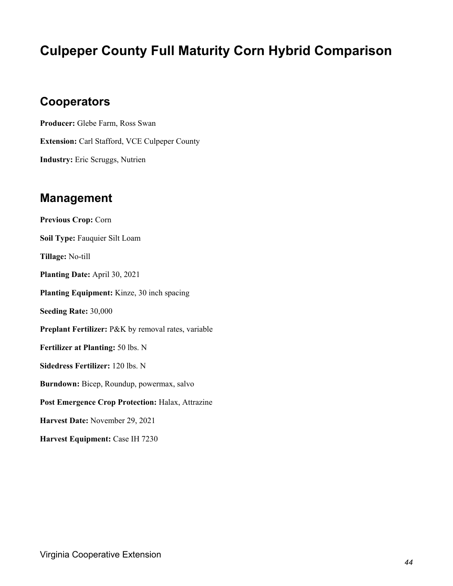### **Culpeper County Full Maturity Corn Hybrid Comparison**

#### **Cooperators**

**Producer:** Glebe Farm, Ross Swan **Extension:** Carl Stafford, VCE Culpeper County **Industry:** Eric Scruggs, Nutrien

#### **Management**

**Previous Crop:** Corn **Soil Type:** Fauquier Silt Loam **Tillage:** No-till **Planting Date:** April 30, 2021 **Planting Equipment:** Kinze, 30 inch spacing **Seeding Rate:** 30,000 **Preplant Fertilizer:** P&K by removal rates, variable **Fertilizer at Planting:** 50 lbs. N **Sidedress Fertilizer:** 120 lbs. N **Burndown:** Bicep, Roundup, powermax, salvo **Post Emergence Crop Protection:** Halax, Attrazine **Harvest Date:** November 29, 2021 **Harvest Equipment:** Case IH 7230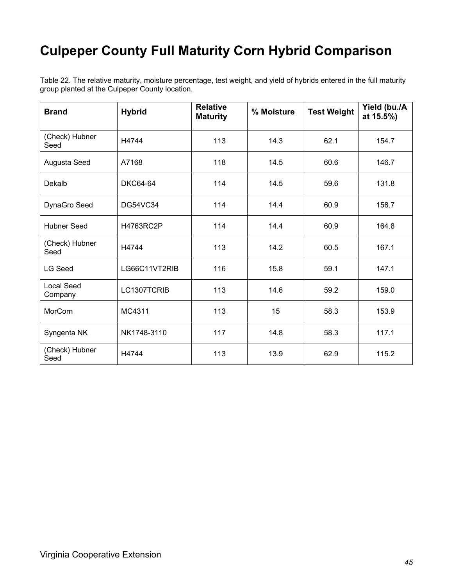### **Culpeper County Full Maturity Corn Hybrid Comparison**

Table 22. The relative maturity, moisture percentage, test weight, and yield of hybrids entered in the full maturity group planted at the Culpeper County location.

| <b>Brand</b>                 | <b>Hybrid</b>   | <b>Relative</b><br><b>Maturity</b> | % Moisture | <b>Test Weight</b> | Yield (bu./A<br>at 15.5%) |
|------------------------------|-----------------|------------------------------------|------------|--------------------|---------------------------|
| (Check) Hubner<br>Seed       | H4744           | 113                                | 14.3       | 62.1               | 154.7                     |
| Augusta Seed                 | A7168           | 118                                | 14.5       | 60.6               | 146.7                     |
| Dekalb                       | <b>DKC64-64</b> | 114                                | 14.5       | 59.6               | 131.8                     |
| DynaGro Seed                 | DG54VC34        | 114                                | 14.4       | 60.9               | 158.7                     |
| <b>Hubner Seed</b>           | H4763RC2P       | 114                                | 14.4       | 60.9               | 164.8                     |
| (Check) Hubner<br>Seed       | H4744           | 113                                | 14.2       | 60.5               | 167.1                     |
| <b>LG Seed</b>               | LG66C11VT2RIB   | 116                                | 15.8       | 59.1               | 147.1                     |
| <b>Local Seed</b><br>Company | LC1307TCRIB     | 113                                | 14.6       | 59.2               | 159.0                     |
| MorCorn                      | MC4311          | 113                                | 15         | 58.3               | 153.9                     |
| Syngenta NK                  | NK1748-3110     | 117                                | 14.8       | 58.3               | 117.1                     |
| (Check) Hubner<br>Seed       | H4744           | 113                                | 13.9       | 62.9               | 115.2                     |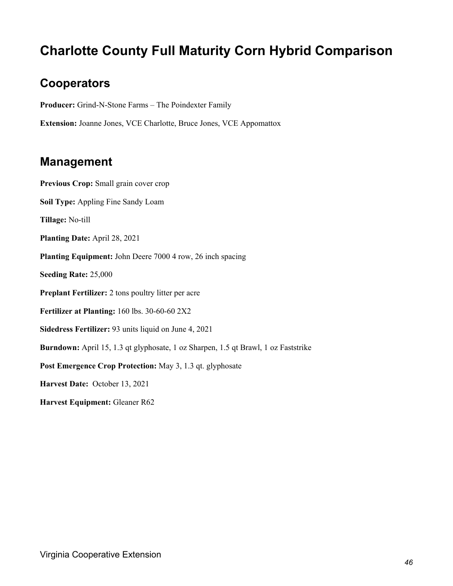### **Charlotte County Full Maturity Corn Hybrid Comparison**

#### **Cooperators**

**Producer:** Grind-N-Stone Farms – The Poindexter Family

**Extension:** Joanne Jones, VCE Charlotte, Bruce Jones, VCE Appomattox

#### **Management**

**Previous Crop:** Small grain cover crop **Soil Type:** Appling Fine Sandy Loam **Tillage:** No-till **Planting Date:** April 28, 2021 **Planting Equipment:** John Deere 7000 4 row, 26 inch spacing **Seeding Rate:** 25,000 **Preplant Fertilizer:** 2 tons poultry litter per acre **Fertilizer at Planting:** 160 lbs. 30-60-60 2X2 **Sidedress Fertilizer:** 93 units liquid on June 4, 2021 **Burndown:** April 15, 1.3 qt glyphosate, 1 oz Sharpen, 1.5 qt Brawl, 1 oz Faststrike Post Emergence Crop Protection: May 3, 1.3 qt. glyphosate **Harvest Date:** October 13, 2021 **Harvest Equipment:** Gleaner R62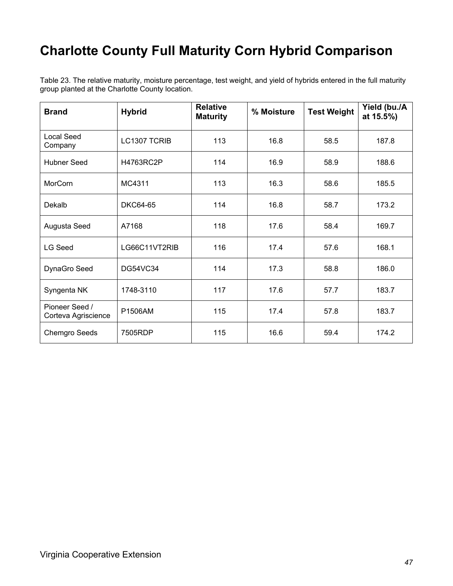### **Charlotte County Full Maturity Corn Hybrid Comparison**

Table 23. The relative maturity, moisture percentage, test weight, and yield of hybrids entered in the full maturity group planted at the Charlotte County location.

| <b>Brand</b>                          | <b>Hybrid</b>   | <b>Relative</b><br><b>Maturity</b> | % Moisture | <b>Test Weight</b> | Yield (bu./A<br>at 15.5%) |
|---------------------------------------|-----------------|------------------------------------|------------|--------------------|---------------------------|
| <b>Local Seed</b><br>Company          | LC1307 TCRIB    | 113                                | 16.8       | 58.5               | 187.8                     |
| Hubner Seed                           | H4763RC2P       | 114                                | 16.9       | 58.9               | 188.6                     |
| MorCorn                               | MC4311          | 113                                | 16.3       | 58.6               | 185.5                     |
| Dekalb                                | DKC64-65        | 114                                | 16.8       | 58.7               | 173.2                     |
| Augusta Seed                          | A7168           | 118                                | 17.6       | 58.4               | 169.7                     |
| LG Seed                               | LG66C11VT2RIB   | 116                                | 17.4       | 57.6               | 168.1                     |
| DynaGro Seed                          | <b>DG54VC34</b> | 114                                | 17.3       | 58.8               | 186.0                     |
| Syngenta NK                           | 1748-3110       | 117                                | 17.6       | 57.7               | 183.7                     |
| Pioneer Seed /<br>Corteva Agriscience | P1506AM         | 115                                | 17.4       | 57.8               | 183.7                     |
| Chemgro Seeds                         | 7505RDP         | 115                                | 16.6       | 59.4               | 174.2                     |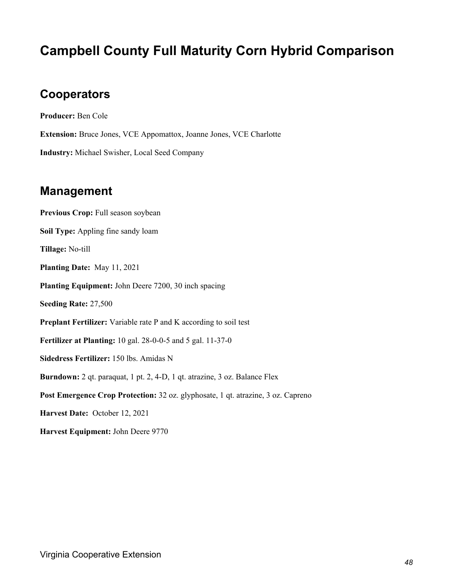### **Campbell County Full Maturity Corn Hybrid Comparison**

#### **Cooperators**

**Producer:** Ben Cole **Extension:** Bruce Jones, VCE Appomattox, Joanne Jones, VCE Charlotte **Industry:** Michael Swisher, Local Seed Company

#### **Management**

**Previous Crop:** Full season soybean **Soil Type:** Appling fine sandy loam **Tillage:** No-till **Planting Date:** May 11, 2021 **Planting Equipment:** John Deere 7200, 30 inch spacing **Seeding Rate:** 27,500 **Preplant Fertilizer:** Variable rate P and K according to soil test **Fertilizer at Planting:** 10 gal. 28-0-0-5 and 5 gal. 11-37-0 **Sidedress Fertilizer:** 150 lbs. Amidas N **Burndown:** 2 qt. paraquat, 1 pt. 2, 4-D, 1 qt. atrazine, 3 oz. Balance Flex **Post Emergence Crop Protection:** 32 oz. glyphosate, 1 qt. atrazine, 3 oz. Capreno **Harvest Date:** October 12, 2021

**Harvest Equipment:** John Deere 9770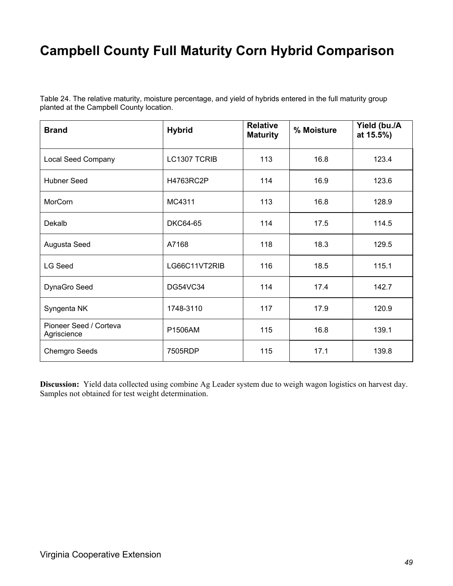### **Campbell County Full Maturity Corn Hybrid Comparison**

| Table 24. The relative maturity, moisture percentage, and yield of hybrids entered in the full maturity group |  |  |
|---------------------------------------------------------------------------------------------------------------|--|--|
| planted at the Campbell County location.                                                                      |  |  |

| <b>Brand</b>                          | <b>Hybrid</b>   | <b>Relative</b><br><b>Maturity</b> | % Moisture | Yield (bu./A<br>at 15.5%) |
|---------------------------------------|-----------------|------------------------------------|------------|---------------------------|
| <b>Local Seed Company</b>             | LC1307 TCRIB    | 113                                | 16.8       | 123.4                     |
| <b>Hubner Seed</b>                    | H4763RC2P       | 114                                | 16.9       | 123.6                     |
| MorCorn                               | MC4311          | 113                                | 16.8       | 128.9                     |
| Dekalb                                | <b>DKC64-65</b> | 114                                | 17.5       | 114.5                     |
| Augusta Seed                          | A7168           | 118                                | 18.3       | 129.5                     |
| <b>LG Seed</b>                        | LG66C11VT2RIB   | 116                                | 18.5       | 115.1                     |
| DynaGro Seed                          | <b>DG54VC34</b> | 114                                | 17.4       | 142.7                     |
| Syngenta NK                           | 1748-3110       | 117                                | 17.9       | 120.9                     |
| Pioneer Seed / Corteva<br>Agriscience | P1506AM         | 115                                | 16.8       | 139.1                     |
| <b>Chemgro Seeds</b>                  | 7505RDP         | 115                                | 17.1       | 139.8                     |

**Discussion:** Yield data collected using combine Ag Leader system due to weigh wagon logistics on harvest day. Samples not obtained for test weight determination.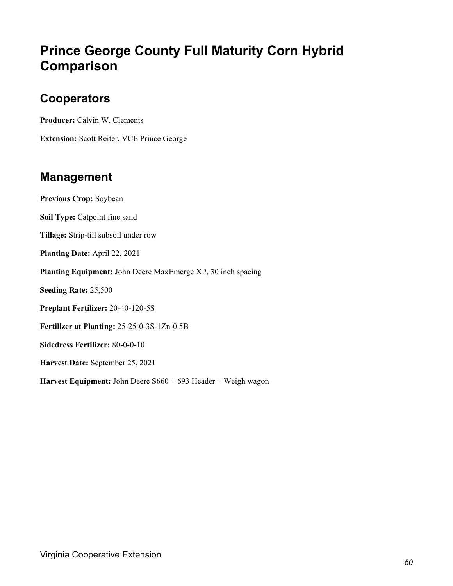### **Prince George County Full Maturity Corn Hybrid Comparison**

#### **Cooperators**

**Producer:** Calvin W. Clements

**Extension:** Scott Reiter, VCE Prince George

#### **Management**

**Previous Crop:** Soybean **Soil Type:** Catpoint fine sand **Tillage:** Strip-till subsoil under row **Planting Date:** April 22, 2021 **Planting Equipment:** John Deere MaxEmerge XP, 30 inch spacing **Seeding Rate:** 25,500 **Preplant Fertilizer:** 20-40-120-5S **Fertilizer at Planting:** 25-25-0-3S-1Zn-0.5B **Sidedress Fertilizer:** 80-0-0-10 **Harvest Date:** September 25, 2021 **Harvest Equipment:** John Deere S660 + 693 Header + Weigh wagon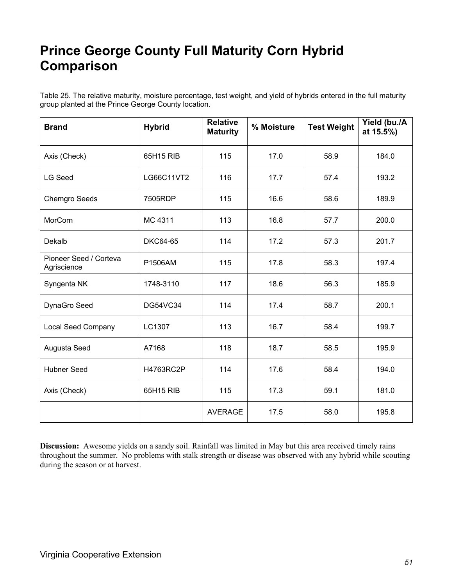### **Prince George County Full Maturity Corn Hybrid Comparison**

Table 25. The relative maturity, moisture percentage, test weight, and yield of hybrids entered in the full maturity group planted at the Prince George County location.

| <b>Brand</b>                          | <b>Hybrid</b>   | <b>Relative</b><br><b>Maturity</b> | % Moisture | <b>Test Weight</b> | Yield (bu./A<br>at 15.5%) |
|---------------------------------------|-----------------|------------------------------------|------------|--------------------|---------------------------|
| Axis (Check)                          | 65H15 RIB       | 115                                | 17.0       | 58.9               | 184.0                     |
| <b>LG Seed</b>                        | LG66C11VT2      | 116                                | 17.7       | 57.4               | 193.2                     |
| <b>Chemgro Seeds</b>                  | 7505RDP         | 115                                | 16.6       | 58.6               | 189.9                     |
| MorCorn                               | MC 4311         | 113                                | 16.8       | 57.7               | 200.0                     |
| Dekalb                                | <b>DKC64-65</b> | 114                                | 17.2       | 57.3               | 201.7                     |
| Pioneer Seed / Corteva<br>Agriscience | P1506AM         | 115                                | 17.8       | 58.3               | 197.4                     |
| Syngenta NK                           | 1748-3110       | 117                                | 18.6       | 56.3               | 185.9                     |
| DynaGro Seed                          | <b>DG54VC34</b> | 114                                | 17.4       | 58.7               | 200.1                     |
| <b>Local Seed Company</b>             | LC1307          | 113                                | 16.7       | 58.4               | 199.7                     |
| Augusta Seed                          | A7168           | 118                                | 18.7       | 58.5               | 195.9                     |
| <b>Hubner Seed</b>                    | H4763RC2P       | 114                                | 17.6       | 58.4               | 194.0                     |
| Axis (Check)                          | 65H15 RIB       | 115                                | 17.3       | 59.1               | 181.0                     |
|                                       |                 | <b>AVERAGE</b>                     | 17.5       | 58.0               | 195.8                     |

**Discussion:** Awesome yields on a sandy soil. Rainfall was limited in May but this area received timely rains throughout the summer. No problems with stalk strength or disease was observed with any hybrid while scouting during the season or at harvest.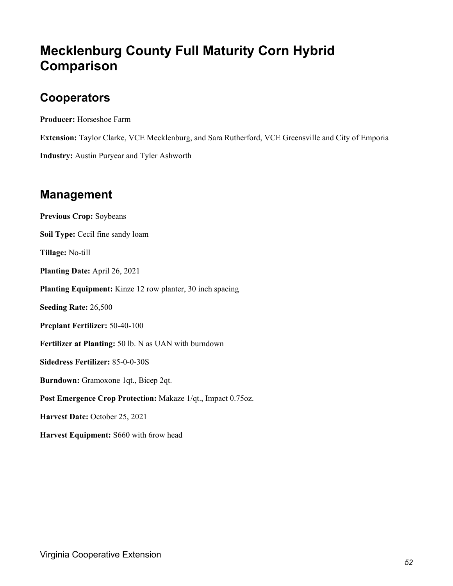### **Mecklenburg County Full Maturity Corn Hybrid Comparison**

#### **Cooperators**

**Producer:** Horseshoe Farm

**Extension:** Taylor Clarke, VCE Mecklenburg, and Sara Rutherford, VCE Greensville and City of Emporia

**Industry:** Austin Puryear and Tyler Ashworth

#### **Management**

**Previous Crop:** Soybeans **Soil Type:** Cecil fine sandy loam **Tillage:** No-till **Planting Date:** April 26, 2021 **Planting Equipment:** Kinze 12 row planter, 30 inch spacing **Seeding Rate:** 26,500 **Preplant Fertilizer:** 50-40-100 **Fertilizer at Planting:** 50 lb. N as UAN with burndown **Sidedress Fertilizer:** 85-0-0-30S **Burndown:** Gramoxone 1qt., Bicep 2qt. **Post Emergence Crop Protection:** Makaze 1/qt., Impact 0.75oz. **Harvest Date:** October 25, 2021 **Harvest Equipment:** S660 with 6row head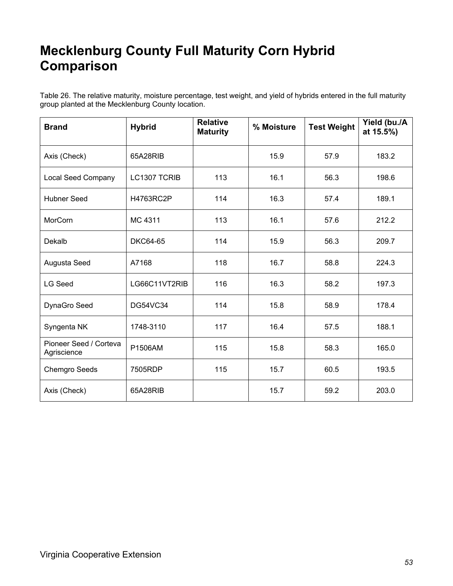### **Mecklenburg County Full Maturity Corn Hybrid Comparison**

Table 26. The relative maturity, moisture percentage, test weight, and yield of hybrids entered in the full maturity group planted at the Mecklenburg County location.

| <b>Brand</b>                          | <b>Hybrid</b>   | <b>Relative</b><br><b>Maturity</b> | % Moisture | <b>Test Weight</b> | Yield (bu./A<br>at 15.5%) |
|---------------------------------------|-----------------|------------------------------------|------------|--------------------|---------------------------|
| Axis (Check)                          | 65A28RIB        |                                    | 15.9       | 57.9               | 183.2                     |
| Local Seed Company                    | LC1307 TCRIB    | 113                                | 16.1       | 56.3               | 198.6                     |
| <b>Hubner Seed</b>                    | H4763RC2P       | 114                                | 16.3       | 57.4               | 189.1                     |
| MorCorn                               | MC 4311         | 113                                | 16.1       | 57.6               | 212.2                     |
| Dekalb                                | <b>DKC64-65</b> | 114                                | 15.9       | 56.3               | 209.7                     |
| Augusta Seed                          | A7168           | 118                                | 16.7       | 58.8               | 224.3                     |
| <b>LG Seed</b>                        | LG66C11VT2RIB   | 116                                | 16.3       | 58.2               | 197.3                     |
| DynaGro Seed                          | <b>DG54VC34</b> | 114                                | 15.8       | 58.9               | 178.4                     |
| Syngenta NK                           | 1748-3110       | 117                                | 16.4       | 57.5               | 188.1                     |
| Pioneer Seed / Corteva<br>Agriscience | P1506AM         | 115                                | 15.8       | 58.3               | 165.0                     |
| <b>Chemgro Seeds</b>                  | 7505RDP         | 115                                | 15.7       | 60.5               | 193.5                     |
| Axis (Check)                          | 65A28RIB        |                                    | 15.7       | 59.2               | 203.0                     |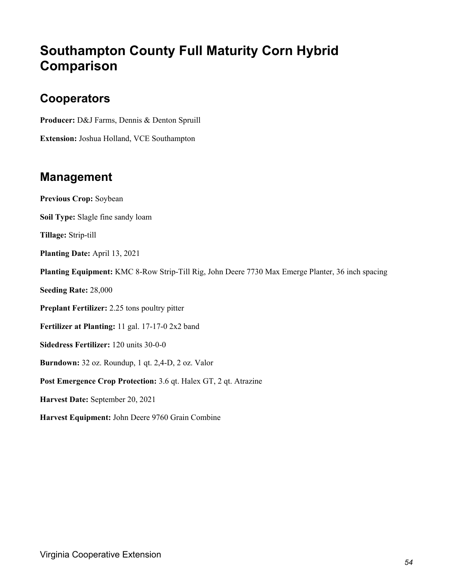### **Southampton County Full Maturity Corn Hybrid Comparison**

#### **Cooperators**

**Producer:** D&J Farms, Dennis & Denton Spruill

**Extension:** Joshua Holland, VCE Southampton

#### **Management**

**Previous Crop:** Soybean **Soil Type:** Slagle fine sandy loam **Tillage:** Strip-till **Planting Date:** April 13, 2021 **Planting Equipment:** KMC 8-Row Strip-Till Rig, John Deere 7730 Max Emerge Planter, 36 inch spacing **Seeding Rate:** 28,000 **Preplant Fertilizer:** 2.25 tons poultry pitter **Fertilizer at Planting:** 11 gal. 17-17-0 2x2 band **Sidedress Fertilizer:** 120 units 30-0-0 **Burndown:** 32 oz. Roundup, 1 qt. 2,4-D, 2 oz. Valor **Post Emergence Crop Protection:** 3.6 qt. Halex GT, 2 qt. Atrazine **Harvest Date:** September 20, 2021 **Harvest Equipment:** John Deere 9760 Grain Combine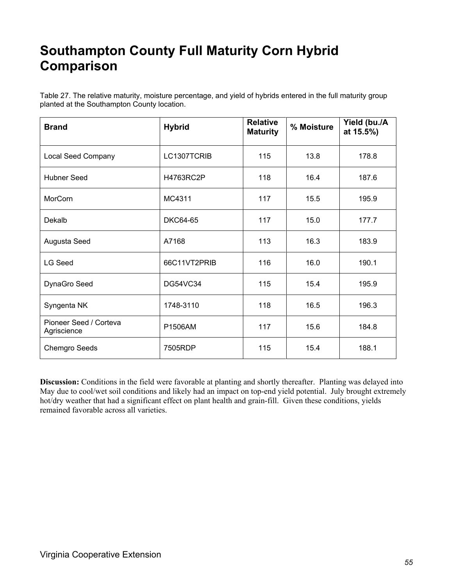### **Southampton County Full Maturity Corn Hybrid Comparison**

Table 27. The relative maturity, moisture percentage, and yield of hybrids entered in the full maturity group planted at the Southampton County location.

| <b>Brand</b>                          | <b>Hybrid</b>   | <b>Relative</b><br><b>Maturity</b> | % Moisture | Yield (bu./A<br>at 15.5%) |
|---------------------------------------|-----------------|------------------------------------|------------|---------------------------|
| <b>Local Seed Company</b>             | LC1307TCRIB     | 115                                | 13.8       | 178.8                     |
| <b>Hubner Seed</b>                    | H4763RC2P       | 118                                | 16.4       | 187.6                     |
| MorCorn                               | MC4311          | 117                                | 15.5       | 195.9                     |
| Dekalb                                | DKC64-65        | 117                                | 15.0       | 177.7                     |
| Augusta Seed                          | A7168           | 113                                | 16.3       | 183.9                     |
| <b>LG Seed</b>                        | 66C11VT2PRIB    | 116                                | 16.0       | 190.1                     |
| DynaGro Seed                          | <b>DG54VC34</b> | 115                                | 15.4       | 195.9                     |
| Syngenta NK                           | 1748-3110       | 118                                | 16.5       | 196.3                     |
| Pioneer Seed / Corteva<br>Agriscience | P1506AM         | 117                                | 15.6       | 184.8                     |
| <b>Chemgro Seeds</b>                  | 7505RDP         | 115                                | 15.4       | 188.1                     |

**Discussion:** Conditions in the field were favorable at planting and shortly thereafter. Planting was delayed into May due to cool/wet soil conditions and likely had an impact on top-end yield potential. July brought extremely hot/dry weather that had a significant effect on plant health and grain-fill. Given these conditions, yields remained favorable across all varieties.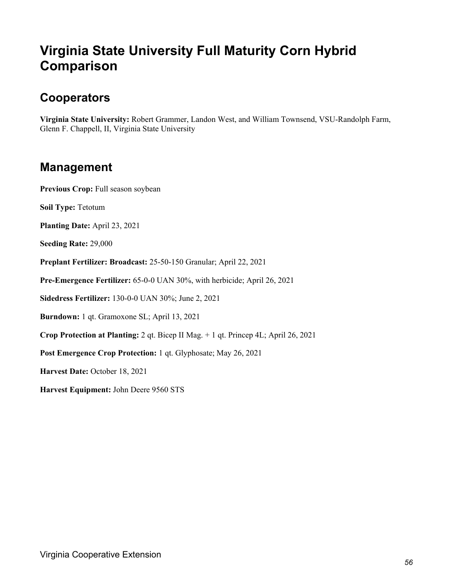### **Virginia State University Full Maturity Corn Hybrid Comparison**

#### **Cooperators**

**Virginia State University:** Robert Grammer, Landon West, and William Townsend, VSU-Randolph Farm, Glenn F. Chappell, II, Virginia State University

#### **Management**

Previous Crop: Full season soybean

**Soil Type:** Tetotum

**Planting Date:** April 23, 2021

**Seeding Rate:** 29,000

**Preplant Fertilizer: Broadcast:** 25-50-150 Granular; April 22, 2021

**Pre-Emergence Fertilizer:** 65-0-0 UAN 30%, with herbicide; April 26, 2021

**Sidedress Fertilizer:** 130-0-0 UAN 30%; June 2, 2021

**Burndown:** 1 qt. Gramoxone SL; April 13, 2021

**Crop Protection at Planting:** 2 qt. Bicep II Mag. + 1 qt. Princep 4L; April 26, 2021

**Post Emergence Crop Protection:** 1 qt. Glyphosate; May 26, 2021

**Harvest Date:** October 18, 2021

**Harvest Equipment:** John Deere 9560 STS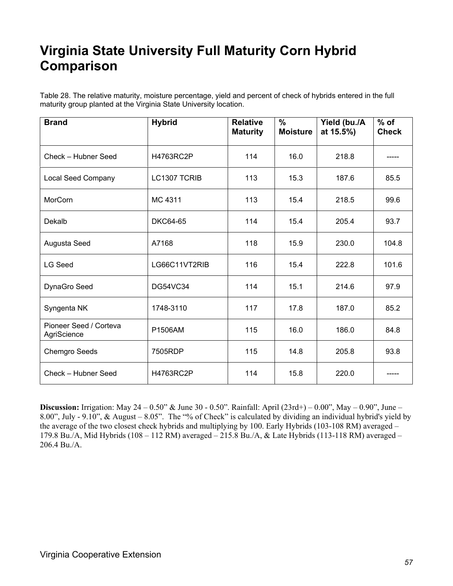### **Virginia State University Full Maturity Corn Hybrid Comparison**

Table 28. The relative maturity, moisture percentage, yield and percent of check of hybrids entered in the full maturity group planted at the Virginia State University location.

| <b>Brand</b>                          | <b>Hybrid</b>   | <b>Relative</b><br><b>Maturity</b> | $\%$<br><b>Moisture</b> | Yield (bu./A<br>at 15.5%) | $%$ of<br><b>Check</b> |
|---------------------------------------|-----------------|------------------------------------|-------------------------|---------------------------|------------------------|
| Check - Hubner Seed                   | H4763RC2P       | 114                                | 16.0                    | 218.8                     |                        |
| Local Seed Company                    | LC1307 TCRIB    | 113                                | 15.3                    | 187.6                     | 85.5                   |
| MorCorn                               | MC 4311         | 113                                | 15.4                    | 218.5                     | 99.6                   |
| Dekalb                                | <b>DKC64-65</b> | 114                                | 15.4                    | 205.4                     | 93.7                   |
| Augusta Seed                          | A7168           | 118                                | 15.9                    | 230.0                     | 104.8                  |
| <b>LG Seed</b>                        | LG66C11VT2RIB   | 116                                | 15.4                    | 222.8                     | 101.6                  |
| DynaGro Seed                          | <b>DG54VC34</b> | 114                                | 15.1                    | 214.6                     | 97.9                   |
| Syngenta NK                           | 1748-3110       | 117                                | 17.8                    | 187.0                     | 85.2                   |
| Pioneer Seed / Corteva<br>AgriScience | P1506AM         | 115                                | 16.0                    | 186.0                     | 84.8                   |
| <b>Chemgro Seeds</b>                  | 7505RDP         | 115                                | 14.8                    | 205.8                     | 93.8                   |
| Check - Hubner Seed                   | H4763RC2P       | 114                                | 15.8                    | 220.0                     |                        |

**Discussion:** Irrigation: May 24 – 0.50" & June 30 - 0.50". Rainfall: April (23rd+) – 0.00", May – 0.90", June – 8.00", July - 9.10", & August – 8.05". The "% of Check" is calculated by dividing an individual hybrid's yield by the average of the two closest check hybrids and multiplying by 100. Early Hybrids (103-108 RM) averaged – 179.8 Bu./A, Mid Hybrids (108 – 112 RM) averaged – 215.8 Bu./A, & Late Hybrids (113-118 RM) averaged – 206.4 Bu./A.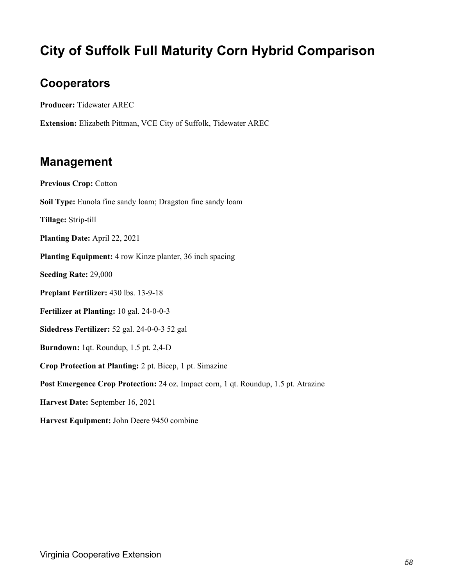### **City of Suffolk Full Maturity Corn Hybrid Comparison**

#### **Cooperators**

**Producer:** Tidewater AREC

**Extension:** Elizabeth Pittman, VCE City of Suffolk, Tidewater AREC

#### **Management**

**Previous Crop:** Cotton **Soil Type:** Eunola fine sandy loam; Dragston fine sandy loam **Tillage:** Strip-till **Planting Date:** April 22, 2021 **Planting Equipment:** 4 row Kinze planter, 36 inch spacing **Seeding Rate:** 29,000 **Preplant Fertilizer:** 430 lbs. 13-9-18 **Fertilizer at Planting:** 10 gal. 24-0-0-3 **Sidedress Fertilizer:** 52 gal. 24-0-0-3 52 gal **Burndown:** 1qt. Roundup, 1.5 pt. 2,4-D **Crop Protection at Planting:** 2 pt. Bicep, 1 pt. Simazine **Post Emergence Crop Protection:** 24 oz. Impact corn, 1 qt. Roundup, 1.5 pt. Atrazine **Harvest Date:** September 16, 2021 **Harvest Equipment:** John Deere 9450 combine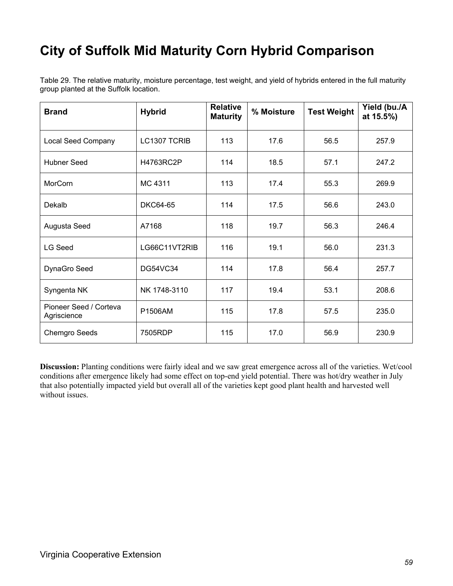### **City of Suffolk Mid Maturity Corn Hybrid Comparison**

Table 29. The relative maturity, moisture percentage, test weight, and yield of hybrids entered in the full maturity group planted at the Suffolk location.

| <b>Brand</b>                          | <b>Hybrid</b>   | <b>Relative</b><br><b>Maturity</b> | % Moisture | <b>Test Weight</b> | Yield (bu./A<br>at 15.5%) |
|---------------------------------------|-----------------|------------------------------------|------------|--------------------|---------------------------|
| <b>Local Seed Company</b>             | LC1307 TCRIB    | 113                                | 17.6       | 56.5               | 257.9                     |
| <b>Hubner Seed</b>                    | H4763RC2P       | 114                                | 18.5       | 57.1               | 247.2                     |
| <b>MorCorn</b>                        | MC 4311         | 113                                | 17.4       | 55.3               | 269.9                     |
| Dekalb                                | <b>DKC64-65</b> | 114                                | 17.5       | 56.6               | 243.0                     |
| Augusta Seed                          | A7168           | 118                                | 19.7       | 56.3               | 246.4                     |
| <b>LG Seed</b>                        | LG66C11VT2RIB   | 116                                | 19.1       | 56.0               | 231.3                     |
| DynaGro Seed                          | <b>DG54VC34</b> | 114                                | 17.8       | 56.4               | 257.7                     |
| Syngenta NK                           | NK 1748-3110    | 117                                | 19.4       | 53.1               | 208.6                     |
| Pioneer Seed / Corteva<br>Agriscience | P1506AM         | 115                                | 17.8       | 57.5               | 235.0                     |
| <b>Chemgro Seeds</b>                  | 7505RDP         | 115                                | 17.0       | 56.9               | 230.9                     |

**Discussion:** Planting conditions were fairly ideal and we saw great emergence across all of the varieties. Wet/cool conditions after emergence likely had some effect on top-end yield potential. There was hot/dry weather in July that also potentially impacted yield but overall all of the varieties kept good plant health and harvested well without issues.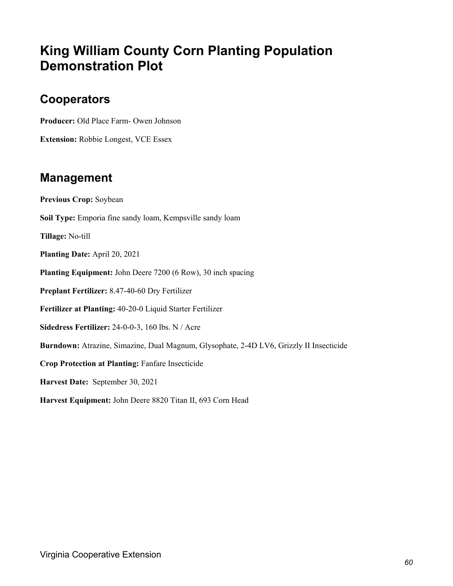### **King William County Corn Planting Population Demonstration Plot**

#### **Cooperators**

**Producer:** Old Place Farm- Owen Johnson

**Extension:** Robbie Longest, VCE Essex

#### **Management**

**Previous Crop:** Soybean **Soil Type:** Emporia fine sandy loam, Kempsville sandy loam **Tillage:** No-till **Planting Date:** April 20, 2021 **Planting Equipment:** John Deere 7200 (6 Row), 30 inch spacing **Preplant Fertilizer:** 8.47-40-60 Dry Fertilizer **Fertilizer at Planting:** 40-20-0 Liquid Starter Fertilizer **Sidedress Fertilizer:** 24-0-0-3, 160 lbs. N / Acre **Burndown:** Atrazine, Simazine, Dual Magnum, Glysophate, 2-4D LV6, Grizzly II Insecticide **Crop Protection at Planting:** Fanfare Insecticide **Harvest Date:** September 30, 2021 **Harvest Equipment:** John Deere 8820 Titan II, 693 Corn Head